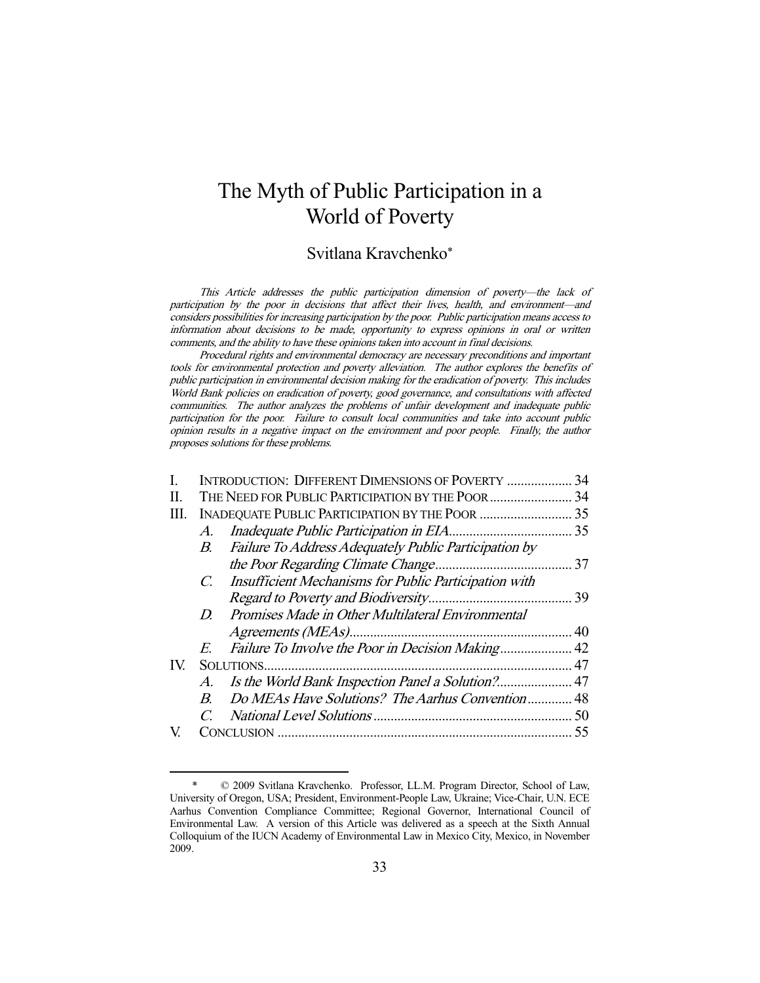# The Myth of Public Participation in a World of Poverty

# Svitlana Kravchenko\*

This Article addresses the public participation dimension of poverty—the lack of participation by the poor in decisions that affect their lives, health, and environment—and considers possibilities for increasing participation by the poor. Public participation means access to information about decisions to be made, opportunity to express opinions in oral or written comments, and the ability to have these opinions taken into account in final decisions.

Procedural rights and environmental democracy are necessary preconditions and important tools for environmental protection and poverty alleviation. The author explores the benefits of public participation in environmental decision making for the eradication of poverty. This includes World Bank policies on eradication of poverty, good governance, and consultations with affected communities. The author analyzes the problems of unfair development and inadequate public participation for the poor. Failure to consult local communities and take into account public opinion results in a negative impact on the environment and poor people. Finally, the author proposes solutions for these problems.

| L   |             | INTRODUCTION: DIFFERENT DIMENSIONS OF POVERTY         | 34 |
|-----|-------------|-------------------------------------------------------|----|
| П.  |             | THE NEED FOR PUBLIC PARTICIPATION BY THE POOR         | 34 |
| Ш.  |             |                                                       |    |
|     | $A_{\cdot}$ |                                                       |    |
|     | B.          | Failure To Address Adequately Public Participation by |    |
|     |             |                                                       |    |
|     | $C_{\cdot}$ | Insufficient Mechanisms for Public Participation with |    |
|     |             |                                                       |    |
|     | $D_{\cdot}$ | Promises Made in Other Multilateral Environmental     |    |
|     |             |                                                       |    |
|     | E.          |                                                       |    |
| IV. |             |                                                       | 47 |
|     | A.          |                                                       |    |
|     | B.          | Do MEAs Have Solutions? The Aarhus Convention 48      |    |
|     |             |                                                       |    |
|     |             |                                                       |    |

 <sup>\* © 2009</sup> Svitlana Kravchenko. Professor, LL.M. Program Director, School of Law, University of Oregon, USA; President, Environment-People Law, Ukraine; Vice-Chair, U.N. ECE Aarhus Convention Compliance Committee; Regional Governor, International Council of Environmental Law. A version of this Article was delivered as a speech at the Sixth Annual Colloquium of the IUCN Academy of Environmental Law in Mexico City, Mexico, in November 2009.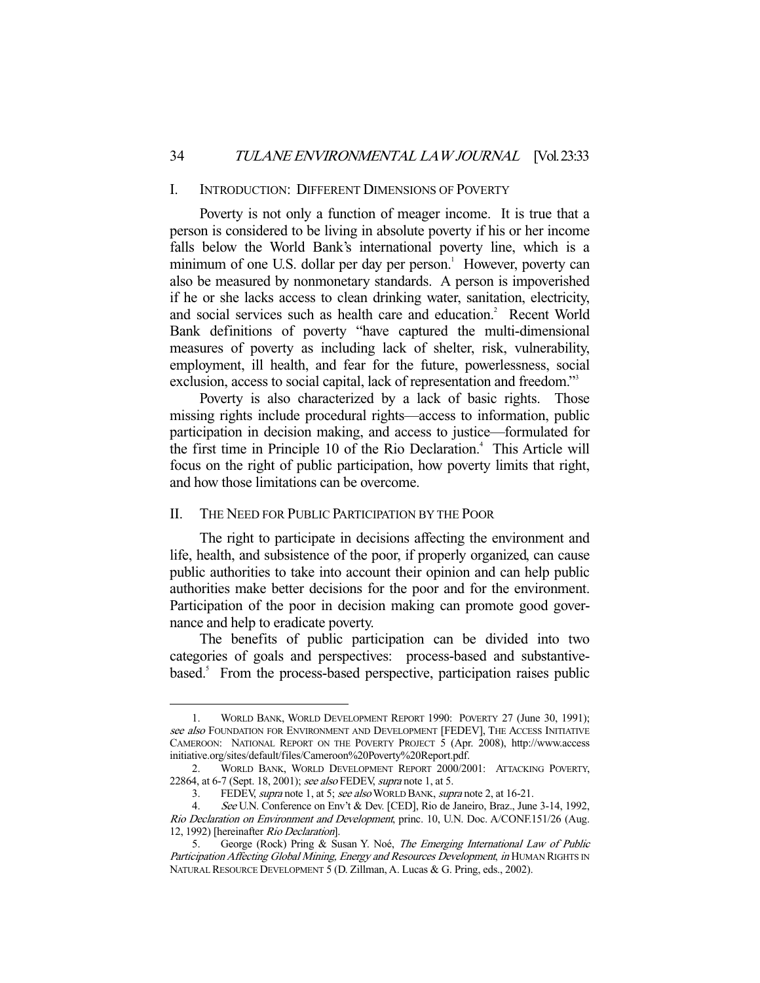#### I. INTRODUCTION: DIFFERENT DIMENSIONS OF POVERTY

 Poverty is not only a function of meager income. It is true that a person is considered to be living in absolute poverty if his or her income falls below the World Bank's international poverty line, which is a minimum of one U.S. dollar per day per person.<sup>1</sup> However, poverty can also be measured by nonmonetary standards. A person is impoverished if he or she lacks access to clean drinking water, sanitation, electricity, and social services such as health care and education.<sup>2</sup> Recent World Bank definitions of poverty "have captured the multi-dimensional measures of poverty as including lack of shelter, risk, vulnerability, employment, ill health, and fear for the future, powerlessness, social exclusion, access to social capital, lack of representation and freedom."<sup>3</sup>

Poverty is also characterized by a lack of basic rights. Those missing rights include procedural rights—access to information, public participation in decision making, and access to justice—formulated for the first time in Principle 10 of the Rio Declaration.<sup>4</sup> This Article will focus on the right of public participation, how poverty limits that right, and how those limitations can be overcome.

# II. THE NEED FOR PUBLIC PARTICIPATION BY THE POOR

-

 The right to participate in decisions affecting the environment and life, health, and subsistence of the poor, if properly organized, can cause public authorities to take into account their opinion and can help public authorities make better decisions for the poor and for the environment. Participation of the poor in decision making can promote good governance and help to eradicate poverty.

 The benefits of public participation can be divided into two categories of goals and perspectives: process-based and substantivebased.<sup>5</sup> From the process-based perspective, participation raises public

 <sup>1.</sup> WORLD BANK, WORLD DEVELOPMENT REPORT 1990: POVERTY 27 (June 30, 1991); see also FOUNDATION FOR ENVIRONMENT AND DEVELOPMENT [FEDEV], THE ACCESS INITIATIVE CAMEROON: NATIONAL REPORT ON THE POVERTY PROJECT 5 (Apr. 2008), http://www.access initiative.org/sites/default/files/Cameroon%20Poverty%20Report.pdf.

 <sup>2.</sup> WORLD BANK, WORLD DEVELOPMENT REPORT 2000/2001: ATTACKING POVERTY, 22864, at 6-7 (Sept. 18, 2001); see also FEDEV, supra note 1, at 5.

<sup>3.</sup> FEDEV, supra note 1, at 5; see also WORLD BANK, supra note 2, at 16-21.

See U.N. Conference on Env't & Dev. [CED], Rio de Janeiro, Braz., June 3-14, 1992, Rio Declaration on Environment and Development, princ. 10, U.N. Doc. A/CONF.151/26 (Aug. 12, 1992) [hereinafter Rio Declaration].

 <sup>5.</sup> George (Rock) Pring & Susan Y. Noé, The Emerging International Law of Public Participation Affecting Global Mining, Energy and Resources Development, in HUMAN RIGHTS IN NATURAL RESOURCE DEVELOPMENT 5 (D. Zillman, A. Lucas & G. Pring, eds., 2002).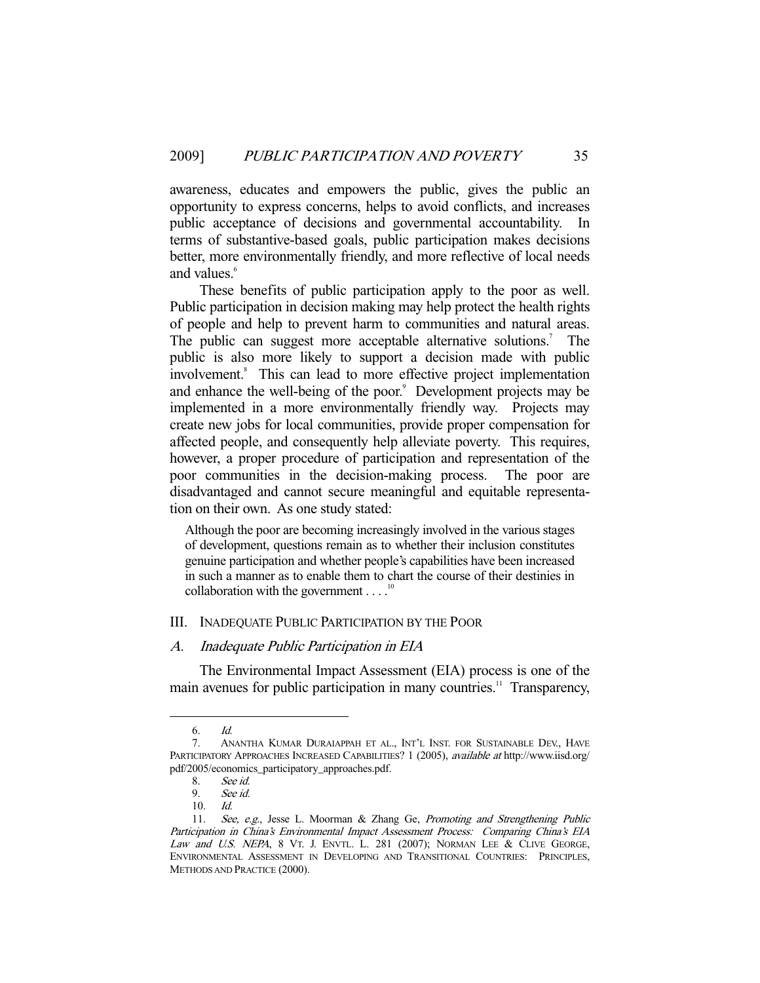awareness, educates and empowers the public, gives the public an opportunity to express concerns, helps to avoid conflicts, and increases public acceptance of decisions and governmental accountability. In terms of substantive-based goals, public participation makes decisions better, more environmentally friendly, and more reflective of local needs and values.<sup>6</sup>

 These benefits of public participation apply to the poor as well. Public participation in decision making may help protect the health rights of people and help to prevent harm to communities and natural areas. The public can suggest more acceptable alternative solutions.<sup>7</sup> The public is also more likely to support a decision made with public involvement.<sup>8</sup> This can lead to more effective project implementation and enhance the well-being of the poor.<sup>9</sup> Development projects may be implemented in a more environmentally friendly way. Projects may create new jobs for local communities, provide proper compensation for affected people, and consequently help alleviate poverty. This requires, however, a proper procedure of participation and representation of the poor communities in the decision-making process. The poor are disadvantaged and cannot secure meaningful and equitable representation on their own. As one study stated:

Although the poor are becoming increasingly involved in the various stages of development, questions remain as to whether their inclusion constitutes genuine participation and whether people's capabilities have been increased in such a manner as to enable them to chart the course of their destinies in collaboration with the government  $\ldots$ <sup>10</sup>

## III. INADEQUATE PUBLIC PARTICIPATION BY THE POOR

### A. Inadequate Public Participation in EIA

 The Environmental Impact Assessment (EIA) process is one of the main avenues for public participation in many countries.<sup>11</sup> Transparency,

 <sup>6.</sup> Id.

 <sup>7.</sup> ANANTHA KUMAR DURAIAPPAH ET AL., INT'L INST. FOR SUSTAINABLE DEV., HAVE PARTICIPATORY APPROACHES INCREASED CAPABILITIES? 1 (2005), available at http://www.iisd.org/ pdf/2005/economics\_participatory\_approaches.pdf.

 <sup>8.</sup> See id.

 <sup>9.</sup> See id.

 <sup>10.</sup> Id.

<sup>11.</sup> See, e.g., Jesse L. Moorman & Zhang Ge, Promoting and Strengthening Public Participation in China's Environmental Impact Assessment Process: Comparing China's EIA Law and U.S. NEPA, 8 VT. J. ENVTL. L. 281 (2007); NORMAN LEE & CLIVE GEORGE, ENVIRONMENTAL ASSESSMENT IN DEVELOPING AND TRANSITIONAL COUNTRIES: PRINCIPLES, METHODS AND PRACTICE (2000).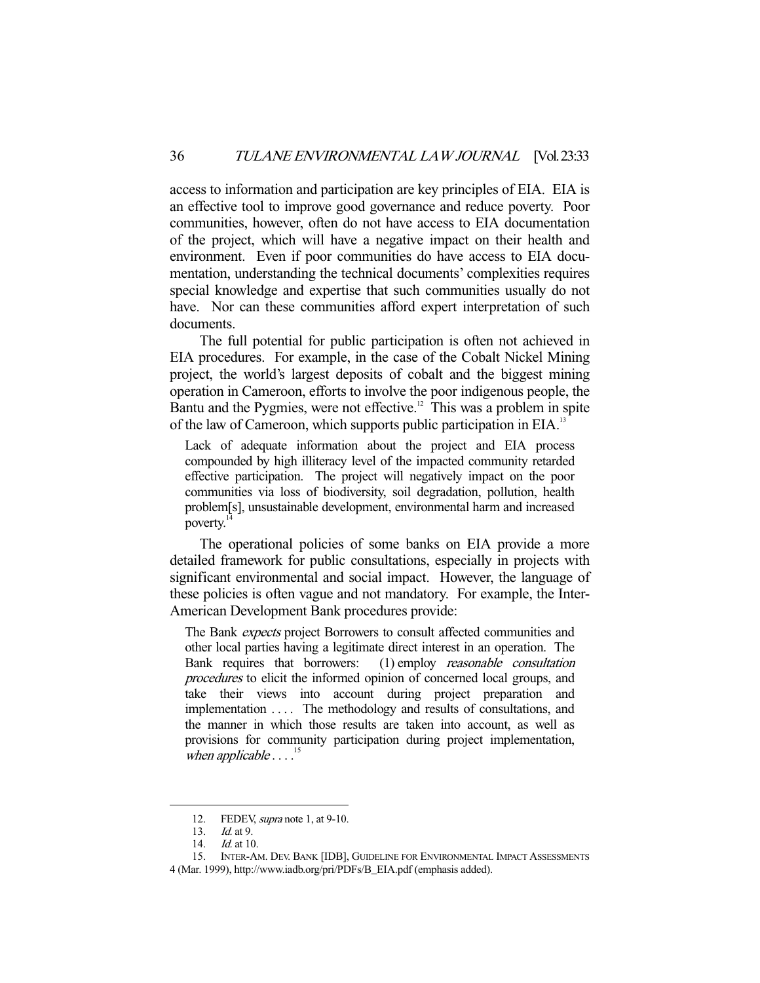access to information and participation are key principles of EIA. EIA is an effective tool to improve good governance and reduce poverty. Poor communities, however, often do not have access to EIA documentation of the project, which will have a negative impact on their health and environment. Even if poor communities do have access to EIA documentation, understanding the technical documents' complexities requires special knowledge and expertise that such communities usually do not have. Nor can these communities afford expert interpretation of such documents.

 The full potential for public participation is often not achieved in EIA procedures. For example, in the case of the Cobalt Nickel Mining project, the world's largest deposits of cobalt and the biggest mining operation in Cameroon, efforts to involve the poor indigenous people, the Bantu and the Pygmies, were not effective.<sup>12</sup> This was a problem in spite of the law of Cameroon, which supports public participation in EIA.<sup>13</sup>

Lack of adequate information about the project and EIA process compounded by high illiteracy level of the impacted community retarded effective participation. The project will negatively impact on the poor communities via loss of biodiversity, soil degradation, pollution, health problem[s], unsustainable development, environmental harm and increased poverty. $\frac{1}{1}$ 

 The operational policies of some banks on EIA provide a more detailed framework for public consultations, especially in projects with significant environmental and social impact. However, the language of these policies is often vague and not mandatory. For example, the Inter-American Development Bank procedures provide:

The Bank expects project Borrowers to consult affected communities and other local parties having a legitimate direct interest in an operation. The Bank requires that borrowers: (1) employ reasonable consultation procedures to elicit the informed opinion of concerned local groups, and take their views into account during project preparation and implementation . . . . The methodology and results of consultations, and the manner in which those results are taken into account, as well as provisions for community participation during project implementation, when applicable  $\ldots$ <sup>15</sup>

<sup>12.</sup> FEDEV, *supra* note 1, at 9-10.

 <sup>13.</sup> Id. at 9.

<sup>14.</sup> *Id.* at 10.

 <sup>15.</sup> INTER-AM. DEV. BANK [IDB], GUIDELINE FOR ENVIRONMENTAL IMPACT ASSESSMENTS

<sup>4 (</sup>Mar. 1999), http://www.iadb.org/pri/PDFs/B\_EIA.pdf (emphasis added).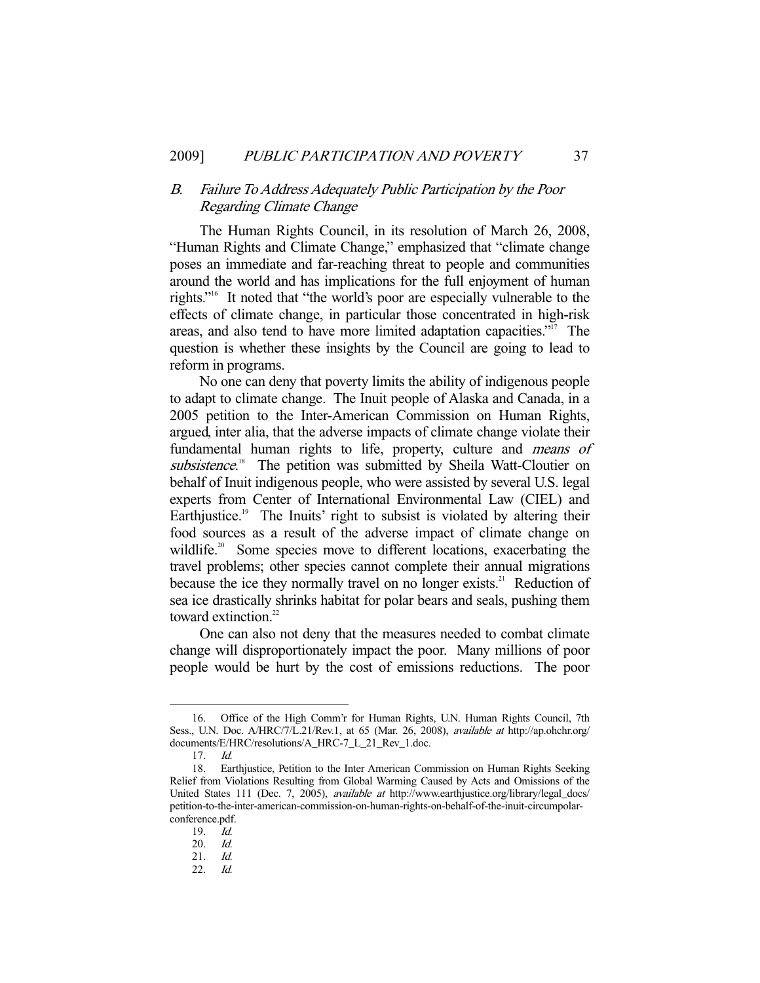# B. Failure To Address Adequately Public Participation by the Poor Regarding Climate Change

 The Human Rights Council, in its resolution of March 26, 2008, "Human Rights and Climate Change," emphasized that "climate change poses an immediate and far-reaching threat to people and communities around the world and has implications for the full enjoyment of human rights."16 It noted that "the world's poor are especially vulnerable to the effects of climate change, in particular those concentrated in high-risk areas, and also tend to have more limited adaptation capacities. $i^{i7}$  The question is whether these insights by the Council are going to lead to reform in programs.

 No one can deny that poverty limits the ability of indigenous people to adapt to climate change. The Inuit people of Alaska and Canada, in a 2005 petition to the Inter-American Commission on Human Rights, argued, inter alia, that the adverse impacts of climate change violate their fundamental human rights to life, property, culture and means of subsistence.<sup>18</sup> The petition was submitted by Sheila Watt-Cloutier on behalf of Inuit indigenous people, who were assisted by several U.S. legal experts from Center of International Environmental Law (CIEL) and Earthjustice.<sup>19</sup> The Inuits' right to subsist is violated by altering their food sources as a result of the adverse impact of climate change on wildlife.<sup>20</sup> Some species move to different locations, exacerbating the travel problems; other species cannot complete their annual migrations because the ice they normally travel on no longer exists.<sup>21</sup> Reduction of sea ice drastically shrinks habitat for polar bears and seals, pushing them toward extinction.<sup>22</sup>

 One can also not deny that the measures needed to combat climate change will disproportionately impact the poor. Many millions of poor people would be hurt by the cost of emissions reductions. The poor

 <sup>16.</sup> Office of the High Comm'r for Human Rights, U.N. Human Rights Council, 7th Sess., U.N. Doc. A/HRC/7/L.21/Rev.1, at 65 (Mar. 26, 2008), available at http://ap.ohchr.org/ documents/E/HRC/resolutions/A\_HRC-7\_L\_21\_Rev\_1.doc.

 <sup>17.</sup> Id.

 <sup>18.</sup> Earthjustice, Petition to the Inter American Commission on Human Rights Seeking Relief from Violations Resulting from Global Warming Caused by Acts and Omissions of the United States 111 (Dec. 7, 2005), *available at http://www.earthjustice.org/library/legal\_docs/* petition-to-the-inter-american-commission-on-human-rights-on-behalf-of-the-inuit-circumpolarconference.pdf.

 <sup>19.</sup> Id.

 <sup>20.</sup> Id.

 <sup>21.</sup> Id.

 <sup>22.</sup> Id.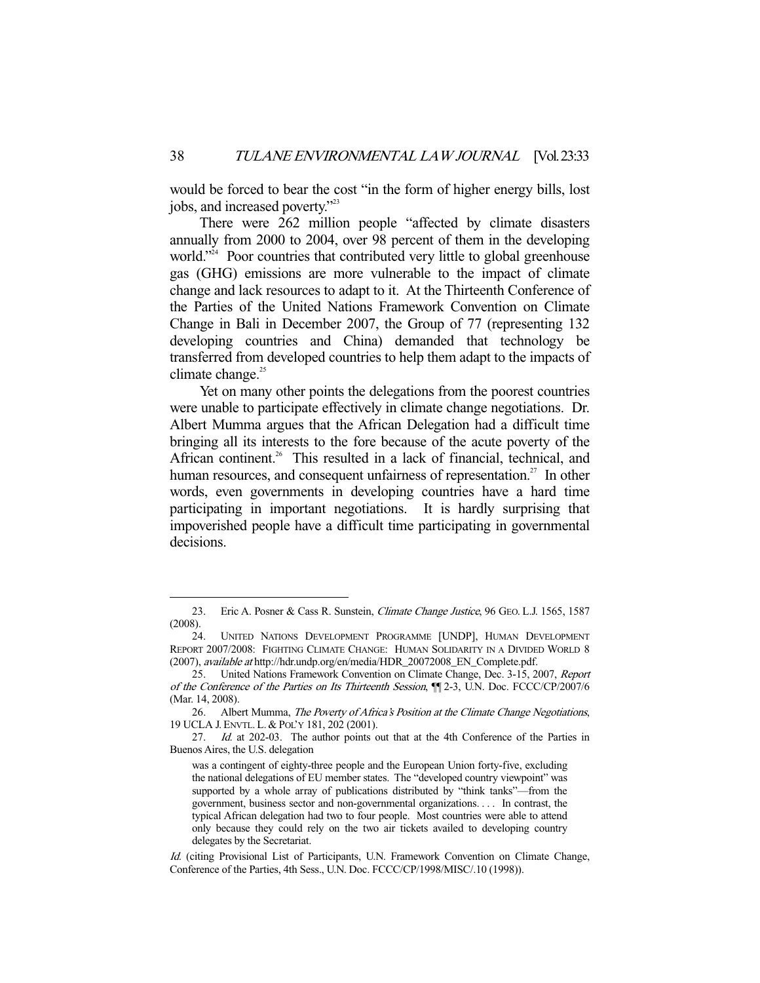would be forced to bear the cost "in the form of higher energy bills, lost jobs, and increased poverty."23

 There were 262 million people "affected by climate disasters annually from 2000 to 2004, over 98 percent of them in the developing world."<sup>24</sup> Poor countries that contributed very little to global greenhouse gas (GHG) emissions are more vulnerable to the impact of climate change and lack resources to adapt to it. At the Thirteenth Conference of the Parties of the United Nations Framework Convention on Climate Change in Bali in December 2007, the Group of 77 (representing 132 developing countries and China) demanded that technology be transferred from developed countries to help them adapt to the impacts of climate change. $25$ 

 Yet on many other points the delegations from the poorest countries were unable to participate effectively in climate change negotiations. Dr. Albert Mumma argues that the African Delegation had a difficult time bringing all its interests to the fore because of the acute poverty of the African continent.<sup>26</sup> This resulted in a lack of financial, technical, and human resources, and consequent unfairness of representation.<sup>27</sup> In other words, even governments in developing countries have a hard time participating in important negotiations. It is hardly surprising that impoverished people have a difficult time participating in governmental decisions.

<sup>23.</sup> Eric A. Posner & Cass R. Sunstein, Climate Change Justice, 96 GEO. L.J. 1565, 1587 (2008).

 <sup>24.</sup> UNITED NATIONS DEVELOPMENT PROGRAMME [UNDP], HUMAN DEVELOPMENT REPORT 2007/2008: FIGHTING CLIMATE CHANGE: HUMAN SOLIDARITY IN A DIVIDED WORLD 8 (2007), available at http://hdr.undp.org/en/media/HDR\_20072008\_EN\_Complete.pdf.

<sup>25.</sup> United Nations Framework Convention on Climate Change, Dec. 3-15, 2007, Report of the Conference of the Parties on Its Thirteenth Session, ¶¶ 2-3, U.N. Doc. FCCC/CP/2007/6 (Mar. 14, 2008).

 <sup>26.</sup> Albert Mumma, The Poverty of Africa's Position at the Climate Change Negotiations, 19 UCLA J.ENVTL.L. & POL'Y 181, 202 (2001).

 <sup>27.</sup> Id. at 202-03. The author points out that at the 4th Conference of the Parties in Buenos Aires, the U.S. delegation

was a contingent of eighty-three people and the European Union forty-five, excluding the national delegations of EU member states. The "developed country viewpoint" was supported by a whole array of publications distributed by "think tanks"—from the government, business sector and non-governmental organizations. . . . In contrast, the typical African delegation had two to four people. Most countries were able to attend only because they could rely on the two air tickets availed to developing country delegates by the Secretariat.

Id. (citing Provisional List of Participants, U.N. Framework Convention on Climate Change, Conference of the Parties, 4th Sess., U.N. Doc. FCCC/CP/1998/MISC/.10 (1998)).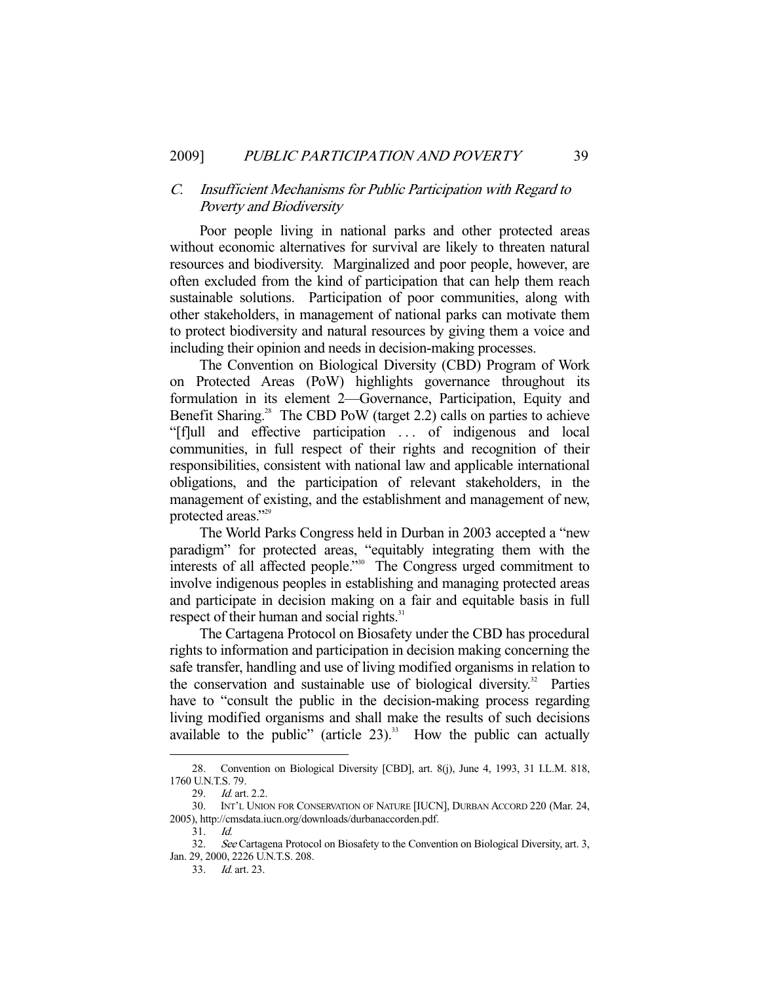# C. Insufficient Mechanisms for Public Participation with Regard to Poverty and Biodiversity

 Poor people living in national parks and other protected areas without economic alternatives for survival are likely to threaten natural resources and biodiversity. Marginalized and poor people, however, are often excluded from the kind of participation that can help them reach sustainable solutions. Participation of poor communities, along with other stakeholders, in management of national parks can motivate them to protect biodiversity and natural resources by giving them a voice and including their opinion and needs in decision-making processes.

 The Convention on Biological Diversity (CBD) Program of Work on Protected Areas (PoW) highlights governance throughout its formulation in its element 2—Governance, Participation, Equity and Benefit Sharing.<sup>28</sup> The CBD PoW (target 2.2) calls on parties to achieve "[f]ull and effective participation ... of indigenous and local communities, in full respect of their rights and recognition of their responsibilities, consistent with national law and applicable international obligations, and the participation of relevant stakeholders, in the management of existing, and the establishment and management of new, protected areas."<sup>29</sup>

 The World Parks Congress held in Durban in 2003 accepted a "new paradigm" for protected areas, "equitably integrating them with the interests of all affected people."30 The Congress urged commitment to involve indigenous peoples in establishing and managing protected areas and participate in decision making on a fair and equitable basis in full respect of their human and social rights. $31$ 

 The Cartagena Protocol on Biosafety under the CBD has procedural rights to information and participation in decision making concerning the safe transfer, handling and use of living modified organisms in relation to the conservation and sustainable use of biological diversity.<sup>32</sup> Parties have to "consult the public in the decision-making process regarding living modified organisms and shall make the results of such decisions available to the public" (article  $23$ ).<sup>33</sup> How the public can actually

 <sup>28.</sup> Convention on Biological Diversity [CBD], art. 8(j), June 4, 1993, 31 I.L.M. 818, 1760 U.N.T.S. 79.

<sup>29.</sup> *Id.* art. 2.2.<br>30. INT'L UNIC

INT'L UNION FOR CONSERVATION OF NATURE [IUCN], DURBAN ACCORD 220 (Mar. 24, 2005), http://cmsdata.iucn.org/downloads/durbanaccorden.pdf.

 <sup>31.</sup> Id.

<sup>32.</sup> See Cartagena Protocol on Biosafety to the Convention on Biological Diversity, art. 3, Jan. 29, 2000, 2226 U.N.T.S. 208.

 <sup>33.</sup> Id. art. 23.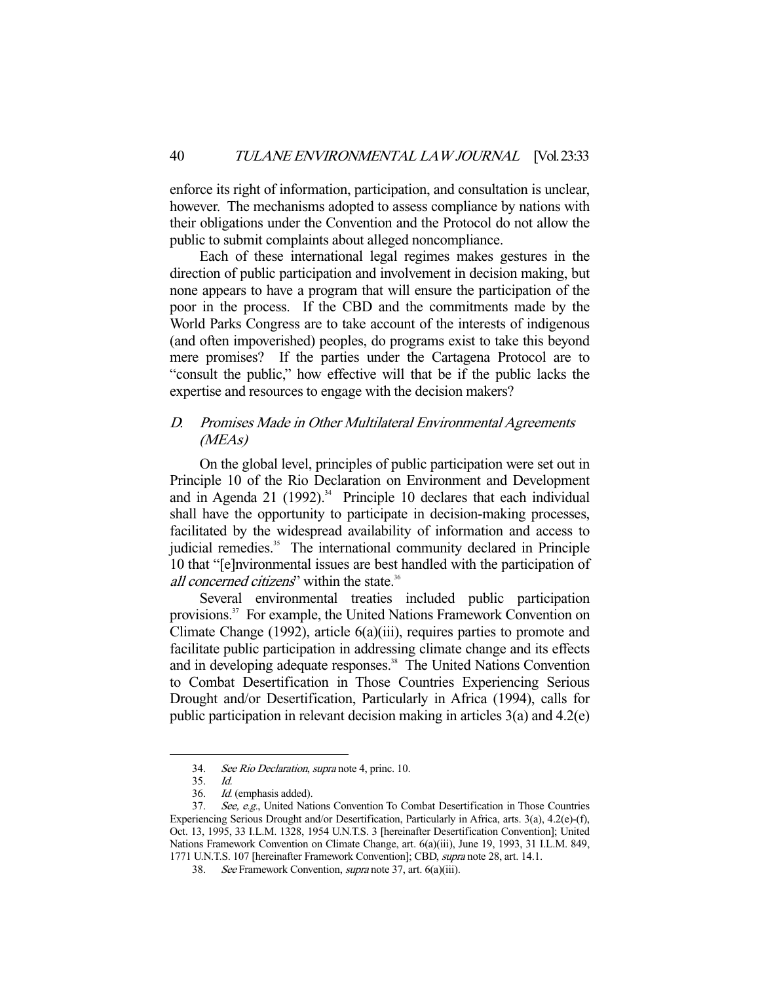enforce its right of information, participation, and consultation is unclear, however. The mechanisms adopted to assess compliance by nations with their obligations under the Convention and the Protocol do not allow the public to submit complaints about alleged noncompliance.

 Each of these international legal regimes makes gestures in the direction of public participation and involvement in decision making, but none appears to have a program that will ensure the participation of the poor in the process. If the CBD and the commitments made by the World Parks Congress are to take account of the interests of indigenous (and often impoverished) peoples, do programs exist to take this beyond mere promises? If the parties under the Cartagena Protocol are to "consult the public," how effective will that be if the public lacks the expertise and resources to engage with the decision makers?

# D. Promises Made in Other Multilateral Environmental Agreements (MEAs)

 On the global level, principles of public participation were set out in Principle 10 of the Rio Declaration on Environment and Development and in Agenda 21 (1992).<sup>34</sup> Principle 10 declares that each individual shall have the opportunity to participate in decision-making processes, facilitated by the widespread availability of information and access to judicial remedies.<sup>35</sup> The international community declared in Principle 10 that "[e]nvironmental issues are best handled with the participation of all concerned citizens" within the state.<sup>36</sup>

 Several environmental treaties included public participation provisions.<sup>37</sup> For example, the United Nations Framework Convention on Climate Change (1992), article 6(a)(iii), requires parties to promote and facilitate public participation in addressing climate change and its effects and in developing adequate responses.<sup>38</sup> The United Nations Convention to Combat Desertification in Those Countries Experiencing Serious Drought and/or Desertification, Particularly in Africa (1994), calls for public participation in relevant decision making in articles 3(a) and 4.2(e)

 <sup>34.</sup> See Rio Declaration, supra note 4, princ. 10.

 <sup>35.</sup> Id.

 <sup>36.</sup> Id. (emphasis added).

<sup>37.</sup> See, e.g., United Nations Convention To Combat Desertification in Those Countries Experiencing Serious Drought and/or Desertification, Particularly in Africa, arts. 3(a), 4.2(e)-(f), Oct. 13, 1995, 33 I.L.M. 1328, 1954 U.N.T.S. 3 [hereinafter Desertification Convention]; United Nations Framework Convention on Climate Change, art. 6(a)(iii), June 19, 1993, 31 I.L.M. 849, 1771 U.N.T.S. 107 [hereinafter Framework Convention]; CBD, supra note 28, art. 14.1.

 <sup>38.</sup> See Framework Convention, supra note 37, art. 6(a)(iii).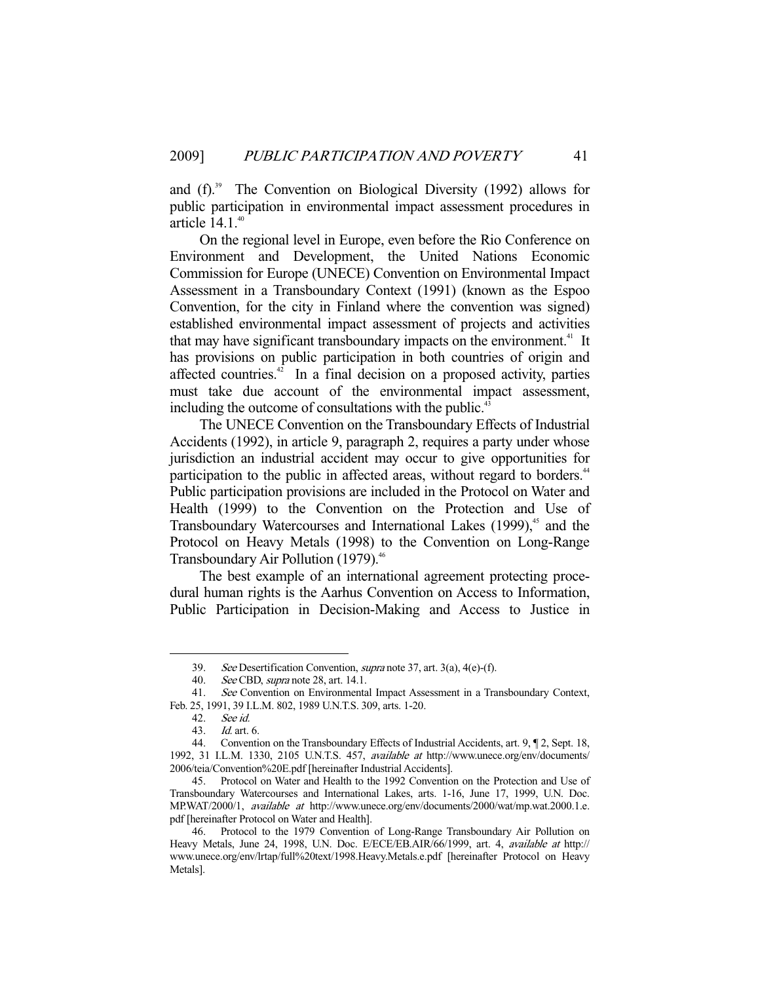and  $(f)$ .<sup>39</sup> The Convention on Biological Diversity (1992) allows for public participation in environmental impact assessment procedures in article  $14.1.^{40}$ 

 On the regional level in Europe, even before the Rio Conference on Environment and Development, the United Nations Economic Commission for Europe (UNECE) Convention on Environmental Impact Assessment in a Transboundary Context (1991) (known as the Espoo Convention, for the city in Finland where the convention was signed) established environmental impact assessment of projects and activities that may have significant transboundary impacts on the environment.<sup>41</sup> It has provisions on public participation in both countries of origin and affected countries. $42$  In a final decision on a proposed activity, parties must take due account of the environmental impact assessment, including the outcome of consultations with the public.<sup>43</sup>

 The UNECE Convention on the Transboundary Effects of Industrial Accidents (1992), in article 9, paragraph 2, requires a party under whose jurisdiction an industrial accident may occur to give opportunities for participation to the public in affected areas, without regard to borders.<sup>44</sup> Public participation provisions are included in the Protocol on Water and Health (1999) to the Convention on the Protection and Use of Transboundary Watercourses and International Lakes  $(1999)$ <sup>45</sup> and the Protocol on Heavy Metals (1998) to the Convention on Long-Range Transboundary Air Pollution (1979).<sup>46</sup>

 The best example of an international agreement protecting procedural human rights is the Aarhus Convention on Access to Information, Public Participation in Decision-Making and Access to Justice in

 <sup>39.</sup> See Desertification Convention, supra note 37, art. 3(a), 4(e)-(f).

<sup>40.</sup> See CBD, *supra* note 28, art. 14.1.

 <sup>41.</sup> See Convention on Environmental Impact Assessment in a Transboundary Context, Feb. 25, 1991, 39 I.L.M. 802, 1989 U.N.T.S. 309, arts. 1-20.

 <sup>42.</sup> See id.

 <sup>43.</sup> Id. art. 6.

 <sup>44.</sup> Convention on the Transboundary Effects of Industrial Accidents, art. 9, ¶ 2, Sept. 18, 1992, 31 I.L.M. 1330, 2105 U.N.T.S. 457, available at http://www.unece.org/env/documents/ 2006/teia/Convention%20E.pdf [hereinafter Industrial Accidents].

 <sup>45.</sup> Protocol on Water and Health to the 1992 Convention on the Protection and Use of Transboundary Watercourses and International Lakes, arts. 1-16, June 17, 1999, U.N. Doc. MP.WAT/2000/1, available at http://www.unece.org/env/documents/2000/wat/mp.wat.2000.1.e. pdf [hereinafter Protocol on Water and Health].

 <sup>46.</sup> Protocol to the 1979 Convention of Long-Range Transboundary Air Pollution on Heavy Metals, June 24, 1998, U.N. Doc. E/ECE/EB.AIR/66/1999, art. 4, available at http:// www.unece.org/env/lrtap/full%20text/1998.Heavy.Metals.e.pdf [hereinafter Protocol on Heavy Metals].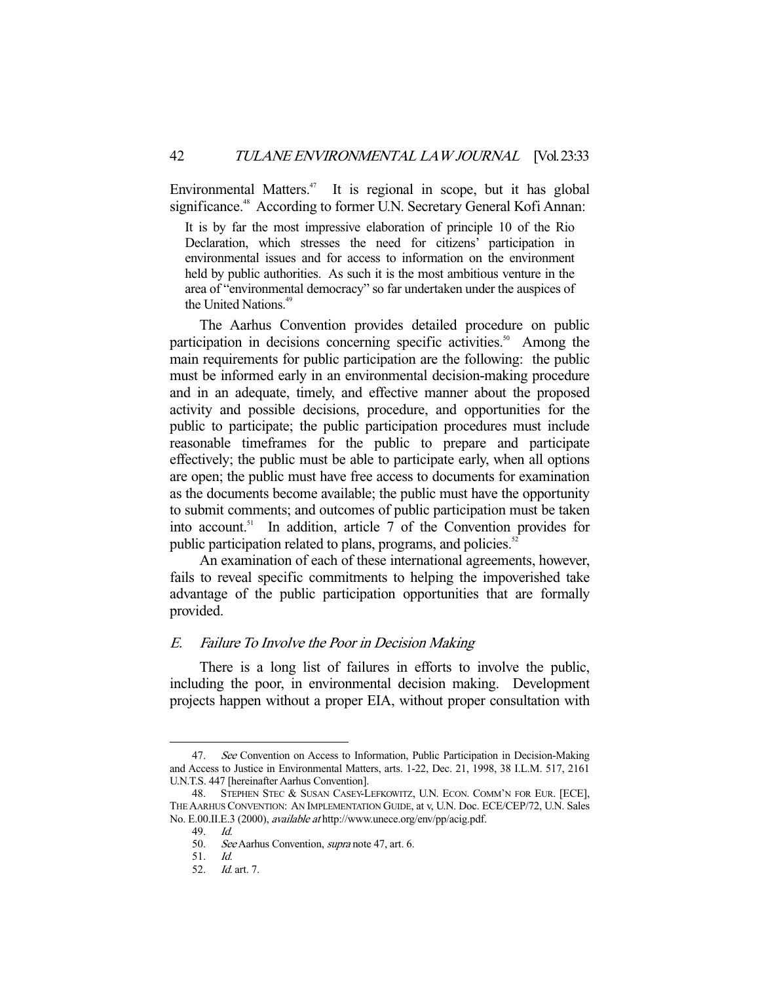Environmental Matters.<sup>47</sup> It is regional in scope, but it has global significance.<sup>48</sup> According to former U.N. Secretary General Kofi Annan:

It is by far the most impressive elaboration of principle 10 of the Rio Declaration, which stresses the need for citizens' participation in environmental issues and for access to information on the environment held by public authorities. As such it is the most ambitious venture in the area of "environmental democracy" so far undertaken under the auspices of the United Nations.<sup>49</sup>

 The Aarhus Convention provides detailed procedure on public participation in decisions concerning specific activities.<sup>50</sup> Among the main requirements for public participation are the following: the public must be informed early in an environmental decision-making procedure and in an adequate, timely, and effective manner about the proposed activity and possible decisions, procedure, and opportunities for the public to participate; the public participation procedures must include reasonable timeframes for the public to prepare and participate effectively; the public must be able to participate early, when all options are open; the public must have free access to documents for examination as the documents become available; the public must have the opportunity to submit comments; and outcomes of public participation must be taken into account.<sup>51</sup> In addition, article 7 of the Convention provides for public participation related to plans, programs, and policies.<sup>52</sup>

 An examination of each of these international agreements, however, fails to reveal specific commitments to helping the impoverished take advantage of the public participation opportunities that are formally provided.

# E. Failure To Involve the Poor in Decision Making

 There is a long list of failures in efforts to involve the public, including the poor, in environmental decision making. Development projects happen without a proper EIA, without proper consultation with

<sup>47.</sup> See Convention on Access to Information, Public Participation in Decision-Making and Access to Justice in Environmental Matters, arts. 1-22, Dec. 21, 1998, 38 I.L.M. 517, 2161 U.N.T.S. 447 [hereinafter Aarhus Convention].

 <sup>48.</sup> STEPHEN STEC & SUSAN CASEY-LEFKOWITZ, U.N. ECON. COMM'N FOR EUR. [ECE], THE AARHUS CONVENTION: AN IMPLEMENTATION GUIDE, at v, U.N. Doc. ECE/CEP/72, U.N. Sales No. E.00.II.E.3 (2000), available at http://www.unece.org/env/pp/acig.pdf.

 <sup>49.</sup> Id.

<sup>50.</sup> See Aarhus Convention, supra note 47, art. 6.

 <sup>51.</sup> Id.

 <sup>52.</sup> Id. art. 7.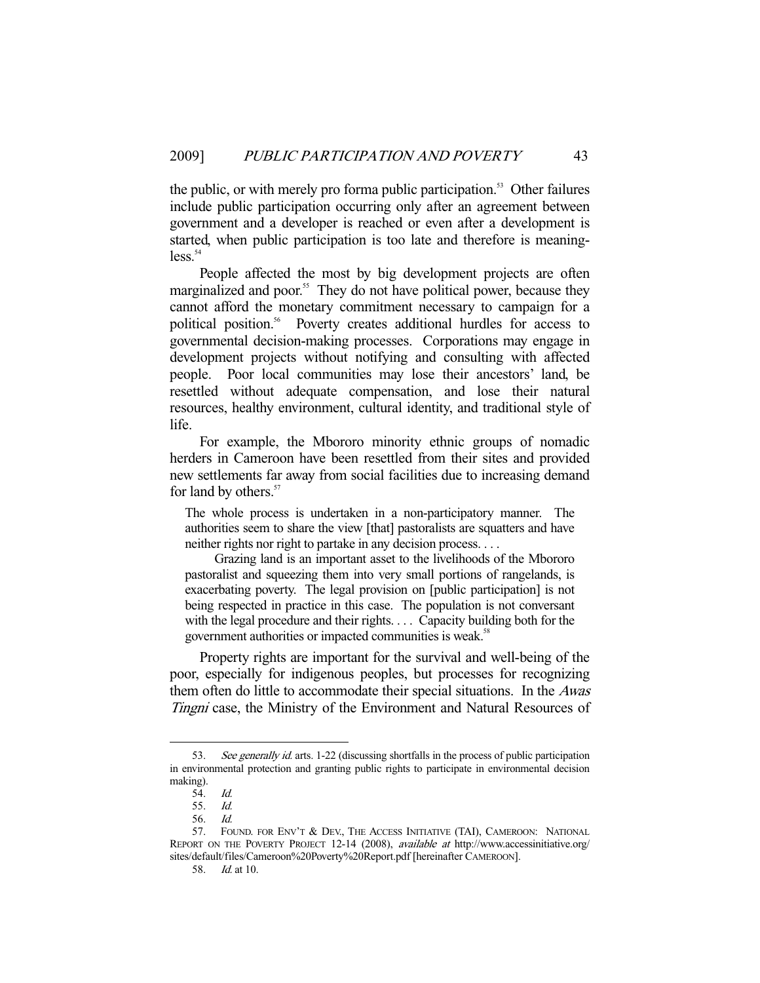the public, or with merely pro forma public participation.<sup>53</sup> Other failures include public participation occurring only after an agreement between government and a developer is reached or even after a development is started, when public participation is too late and therefore is meaning $less<sup>54</sup>$ 

 People affected the most by big development projects are often marginalized and poor.<sup>55</sup> They do not have political power, because they cannot afford the monetary commitment necessary to campaign for a political position.<sup>56</sup> Poverty creates additional hurdles for access to governmental decision-making processes. Corporations may engage in development projects without notifying and consulting with affected people. Poor local communities may lose their ancestors' land, be resettled without adequate compensation, and lose their natural resources, healthy environment, cultural identity, and traditional style of life.

 For example, the Mbororo minority ethnic groups of nomadic herders in Cameroon have been resettled from their sites and provided new settlements far away from social facilities due to increasing demand for land by others.<sup>57</sup>

The whole process is undertaken in a non-participatory manner. The authorities seem to share the view [that] pastoralists are squatters and have neither rights nor right to partake in any decision process. . . .

 Grazing land is an important asset to the livelihoods of the Mbororo pastoralist and squeezing them into very small portions of rangelands, is exacerbating poverty. The legal provision on [public participation] is not being respected in practice in this case. The population is not conversant with the legal procedure and their rights. . . . Capacity building both for the government authorities or impacted communities is weak.<sup>58</sup>

 Property rights are important for the survival and well-being of the poor, especially for indigenous peoples, but processes for recognizing them often do little to accommodate their special situations. In the Awas Tingni case, the Ministry of the Environment and Natural Resources of

<sup>53.</sup> See generally id. arts. 1-22 (discussing shortfalls in the process of public participation in environmental protection and granting public rights to participate in environmental decision making).

<sup>54.</sup> *Id.*<br>55. *Id.* 

<sup>55.</sup> 

 <sup>56.</sup> Id.

<sup>57.</sup> FOUND. FOR ENV'T & DEV., THE ACCESS INITIATIVE (TAI), CAMEROON: NATIONAL REPORT ON THE POVERTY PROJECT 12-14 (2008), available at http://www.accessinitiative.org/ sites/default/files/Cameroon%20Poverty%20Report.pdf [hereinafter CAMEROON].

 <sup>58.</sup> Id. at 10.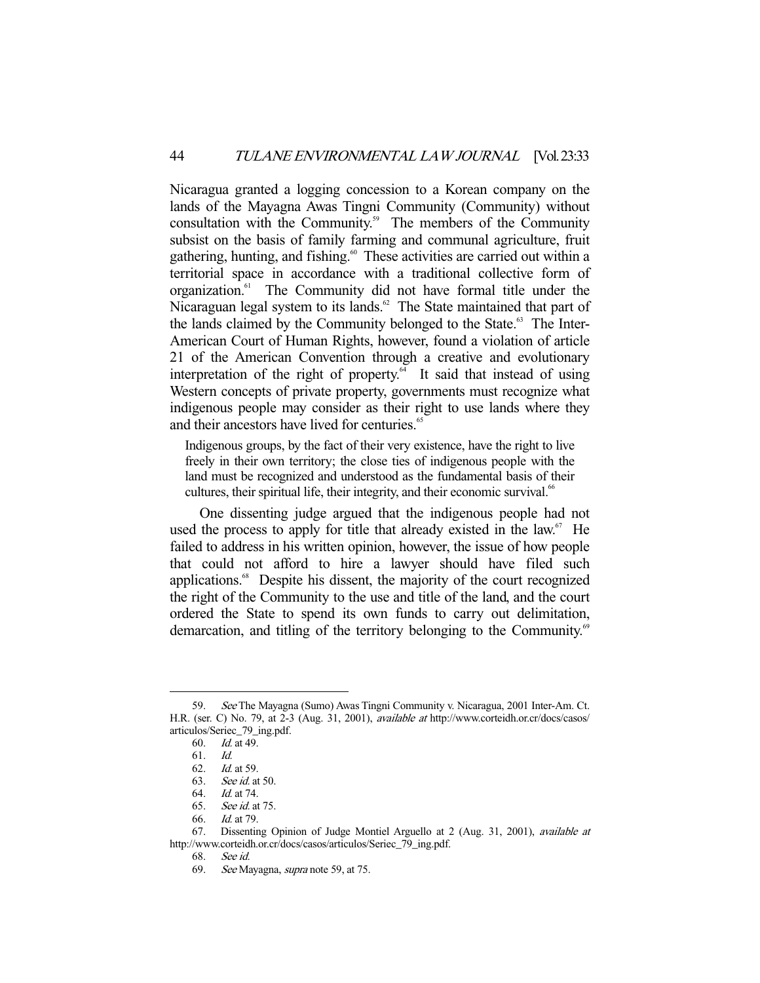Nicaragua granted a logging concession to a Korean company on the lands of the Mayagna Awas Tingni Community (Community) without consultation with the Community.<sup>59</sup> The members of the Community subsist on the basis of family farming and communal agriculture, fruit gathering, hunting, and fishing.<sup>60</sup> These activities are carried out within a territorial space in accordance with a traditional collective form of organization.<sup>61</sup> The Community did not have formal title under the Nicaraguan legal system to its lands.<sup>62</sup> The State maintained that part of the lands claimed by the Community belonged to the State.<sup>63</sup> The Inter-American Court of Human Rights, however, found a violation of article 21 of the American Convention through a creative and evolutionary interpretation of the right of property.<sup>64</sup> It said that instead of using Western concepts of private property, governments must recognize what indigenous people may consider as their right to use lands where they and their ancestors have lived for centuries.<sup>65</sup>

Indigenous groups, by the fact of their very existence, have the right to live freely in their own territory; the close ties of indigenous people with the land must be recognized and understood as the fundamental basis of their cultures, their spiritual life, their integrity, and their economic survival.<sup>66</sup>

 One dissenting judge argued that the indigenous people had not used the process to apply for title that already existed in the law. $67$  He failed to address in his written opinion, however, the issue of how people that could not afford to hire a lawyer should have filed such applications.<sup>68</sup> Despite his dissent, the majority of the court recognized the right of the Community to the use and title of the land, and the court ordered the State to spend its own funds to carry out delimitation, demarcation, and titling of the territory belonging to the Community.<sup>69</sup>

-

66. Id. at 79.

 <sup>59.</sup> See The Mayagna (Sumo) Awas Tingni Community v. Nicaragua, 2001 Inter-Am. Ct. H.R. (ser. C) No. 79, at 2-3 (Aug. 31, 2001), available at http://www.corteidh.or.cr/docs/casos/ articulos/Seriec\_79\_ing.pdf.

 <sup>60.</sup> Id. at 49.

<sup>61.</sup> *Id.*<br>62. *Id.* 

*Id.* at 59.

<sup>63.</sup> *See id.* at 50.<br>64. *Id.* at 74.

 $\overline{d}$ . at 74.

 <sup>65.</sup> See id. at 75.

 <sup>67.</sup> Dissenting Opinion of Judge Montiel Arguello at 2 (Aug. 31, 2001), available at http://www.corteidh.or.cr/docs/casos/articulos/Seriec\_79\_ing.pdf.

 <sup>68.</sup> See id.

 <sup>69.</sup> See Mayagna, supra note 59, at 75.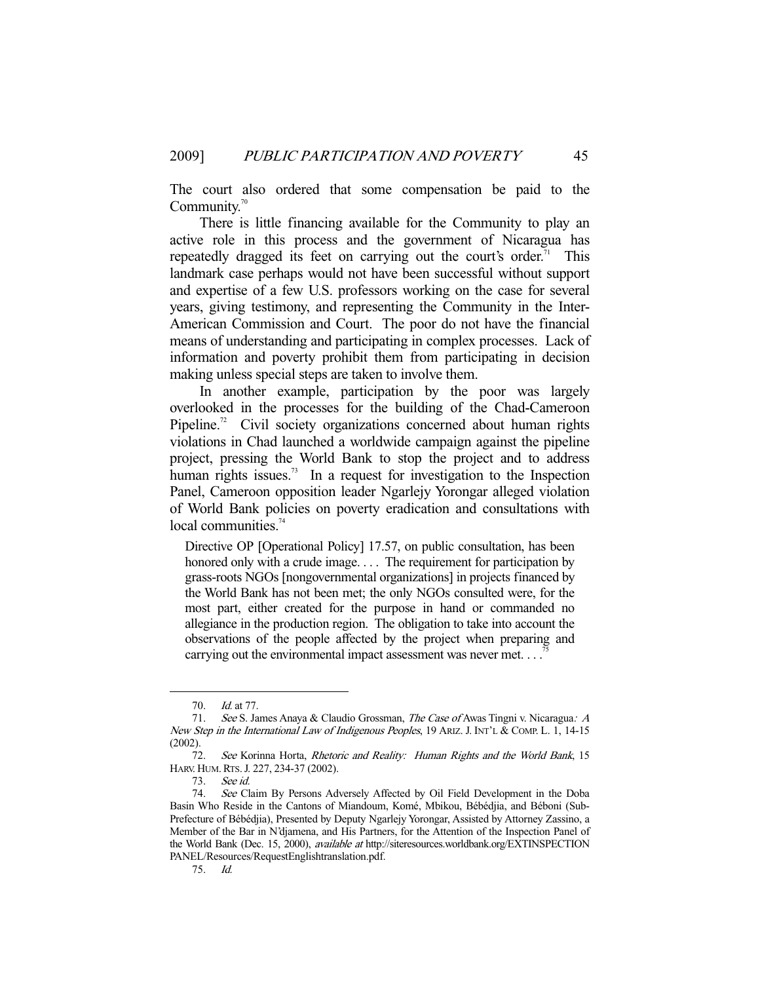The court also ordered that some compensation be paid to the Community.<sup>70</sup>

 There is little financing available for the Community to play an active role in this process and the government of Nicaragua has repeatedly dragged its feet on carrying out the court's order.<sup>71</sup> This landmark case perhaps would not have been successful without support and expertise of a few U.S. professors working on the case for several years, giving testimony, and representing the Community in the Inter-American Commission and Court. The poor do not have the financial means of understanding and participating in complex processes. Lack of information and poverty prohibit them from participating in decision making unless special steps are taken to involve them.

 In another example, participation by the poor was largely overlooked in the processes for the building of the Chad-Cameroon Pipeline.<sup>72</sup> Civil society organizations concerned about human rights violations in Chad launched a worldwide campaign against the pipeline project, pressing the World Bank to stop the project and to address human rights issues.<sup>73</sup> In a request for investigation to the Inspection Panel, Cameroon opposition leader Ngarlejy Yorongar alleged violation of World Bank policies on poverty eradication and consultations with local communities.<sup>74</sup>

Directive OP [Operational Policy] 17.57, on public consultation, has been honored only with a crude image. . . . The requirement for participation by grass-roots NGOs [nongovernmental organizations] in projects financed by the World Bank has not been met; the only NGOs consulted were, for the most part, either created for the purpose in hand or commanded no allegiance in the production region. The obligation to take into account the observations of the people affected by the project when preparing and carrying out the environmental impact assessment was never met. . . .<sup>7</sup>

 <sup>70.</sup> Id. at 77.

<sup>71.</sup> See S. James Anaya & Claudio Grossman, The Case of Awas Tingni v. Nicaragua: A New Step in the International Law of Indigenous Peoples, 19 ARIZ. J. INT'L & COMP. L. 1, 14-15 (2002).

<sup>72.</sup> See Korinna Horta, Rhetoric and Reality: Human Rights and the World Bank, 15 HARV. HUM.RTS.J. 227, 234-37 (2002).

 <sup>73.</sup> See id.

<sup>74.</sup> See Claim By Persons Adversely Affected by Oil Field Development in the Doba Basin Who Reside in the Cantons of Miandoum, Komé, Mbikou, Bébédjia, and Béboni (Sub-Prefecture of Bébédjia), Presented by Deputy Ngarlejy Yorongar, Assisted by Attorney Zassino, a Member of the Bar in N'djamena, and His Partners, for the Attention of the Inspection Panel of the World Bank (Dec. 15, 2000), available at http://siteresources.worldbank.org/EXTINSPECTION PANEL/Resources/RequestEnglishtranslation.pdf.

 <sup>75.</sup> Id.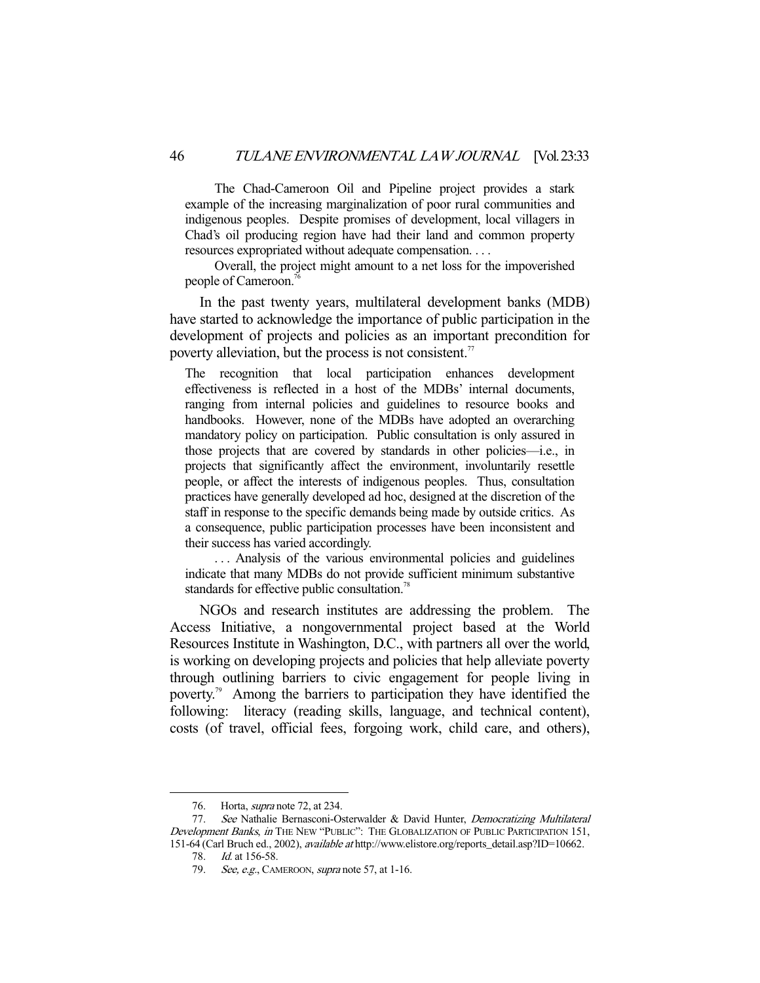The Chad-Cameroon Oil and Pipeline project provides a stark example of the increasing marginalization of poor rural communities and indigenous peoples. Despite promises of development, local villagers in Chad's oil producing region have had their land and common property resources expropriated without adequate compensation. . . .

 Overall, the project might amount to a net loss for the impoverished people of Cameroon.<sup>7</sup>

 In the past twenty years, multilateral development banks (MDB) have started to acknowledge the importance of public participation in the development of projects and policies as an important precondition for poverty alleviation, but the process is not consistent.<sup>77</sup>

The recognition that local participation enhances development effectiveness is reflected in a host of the MDBs' internal documents, ranging from internal policies and guidelines to resource books and handbooks. However, none of the MDBs have adopted an overarching mandatory policy on participation. Public consultation is only assured in those projects that are covered by standards in other policies—i.e., in projects that significantly affect the environment, involuntarily resettle people, or affect the interests of indigenous peoples. Thus, consultation practices have generally developed ad hoc, designed at the discretion of the staff in response to the specific demands being made by outside critics. As a consequence, public participation processes have been inconsistent and their success has varied accordingly.

... Analysis of the various environmental policies and guidelines indicate that many MDBs do not provide sufficient minimum substantive standards for effective public consultation.<sup>78</sup>

 NGOs and research institutes are addressing the problem. The Access Initiative, a nongovernmental project based at the World Resources Institute in Washington, D.C., with partners all over the world, is working on developing projects and policies that help alleviate poverty through outlining barriers to civic engagement for people living in poverty.79 Among the barriers to participation they have identified the following: literacy (reading skills, language, and technical content), costs (of travel, official fees, forgoing work, child care, and others),

<sup>76.</sup> Horta, *supra* note 72, at 234.

<sup>77.</sup> See Nathalie Bernasconi-Osterwalder & David Hunter, Democratizing Multilateral Development Banks, in THE NEW "PUBLIC": THE GLOBALIZATION OF PUBLIC PARTICIPATION 151, 151-64 (Carl Bruch ed., 2002), available at http://www.elistore.org/reports\_detail.asp?ID=10662.

<sup>78.</sup> *Id.* at 156-58.

<sup>79.</sup> See, e.g., CAMEROON, supra note 57, at 1-16.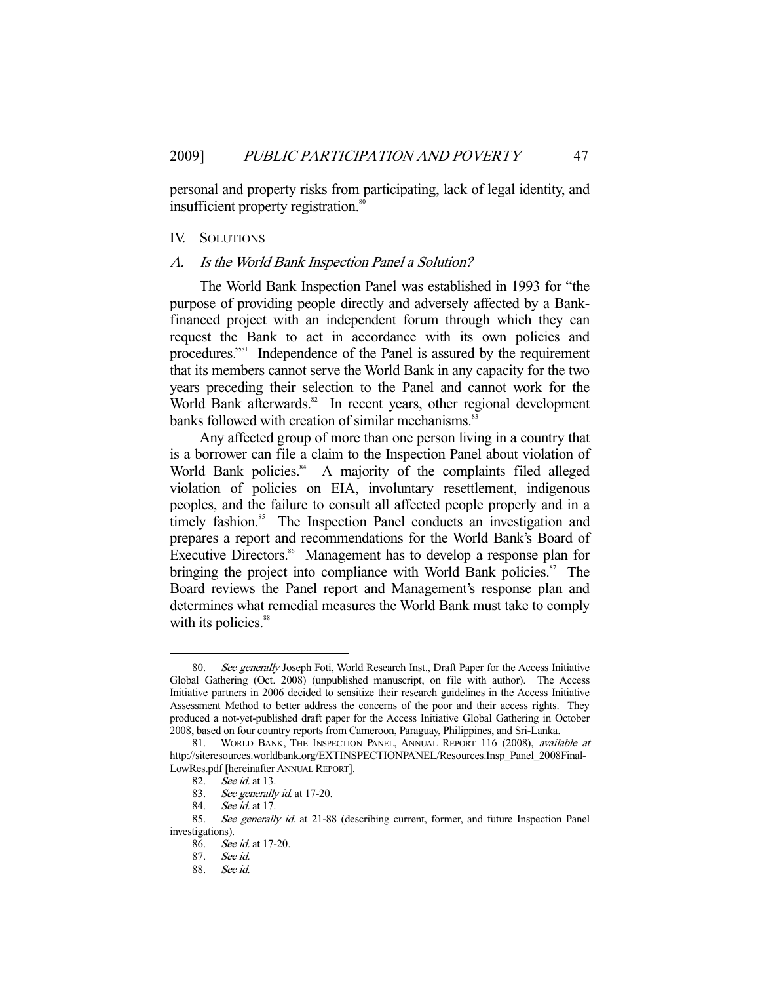personal and property risks from participating, lack of legal identity, and insufficient property registration.<sup>80</sup>

### IV. SOLUTIONS

## A. Is the World Bank Inspection Panel a Solution?

 The World Bank Inspection Panel was established in 1993 for "the purpose of providing people directly and adversely affected by a Bankfinanced project with an independent forum through which they can request the Bank to act in accordance with its own policies and procedures."<sup>81</sup> Independence of the Panel is assured by the requirement that its members cannot serve the World Bank in any capacity for the two years preceding their selection to the Panel and cannot work for the World Bank afterwards.<sup>82</sup> In recent years, other regional development banks followed with creation of similar mechanisms.<sup>83</sup>

 Any affected group of more than one person living in a country that is a borrower can file a claim to the Inspection Panel about violation of World Bank policies.<sup>84</sup> A majority of the complaints filed alleged violation of policies on EIA, involuntary resettlement, indigenous peoples, and the failure to consult all affected people properly and in a timely fashion.<sup>85</sup> The Inspection Panel conducts an investigation and prepares a report and recommendations for the World Bank's Board of Executive Directors.<sup>86</sup> Management has to develop a response plan for bringing the project into compliance with World Bank policies. $\frac{87}{10}$  The Board reviews the Panel report and Management's response plan and determines what remedial measures the World Bank must take to comply with its policies.<sup>88</sup>

<sup>80.</sup> See generally Joseph Foti, World Research Inst., Draft Paper for the Access Initiative Global Gathering (Oct. 2008) (unpublished manuscript, on file with author). The Access Initiative partners in 2006 decided to sensitize their research guidelines in the Access Initiative Assessment Method to better address the concerns of the poor and their access rights. They produced a not-yet-published draft paper for the Access Initiative Global Gathering in October 2008, based on four country reports from Cameroon, Paraguay, Philippines, and Sri-Lanka.

<sup>81.</sup> WORLD BANK, THE INSPECTION PANEL, ANNUAL REPORT 116 (2008), available at http://siteresources.worldbank.org/EXTINSPECTIONPANEL/Resources.Insp\_Panel\_2008Final-LowRes.pdf [hereinafter ANNUAL REPORT].

 <sup>82.</sup> See id. at 13.

<sup>83.</sup> See generally id. at 17-20.

 <sup>84.</sup> See id. at 17.

<sup>85.</sup> See generally id. at 21-88 (describing current, former, and future Inspection Panel investigations).

 <sup>86.</sup> See id. at 17-20.

 <sup>87.</sup> See id.

 <sup>88.</sup> See id.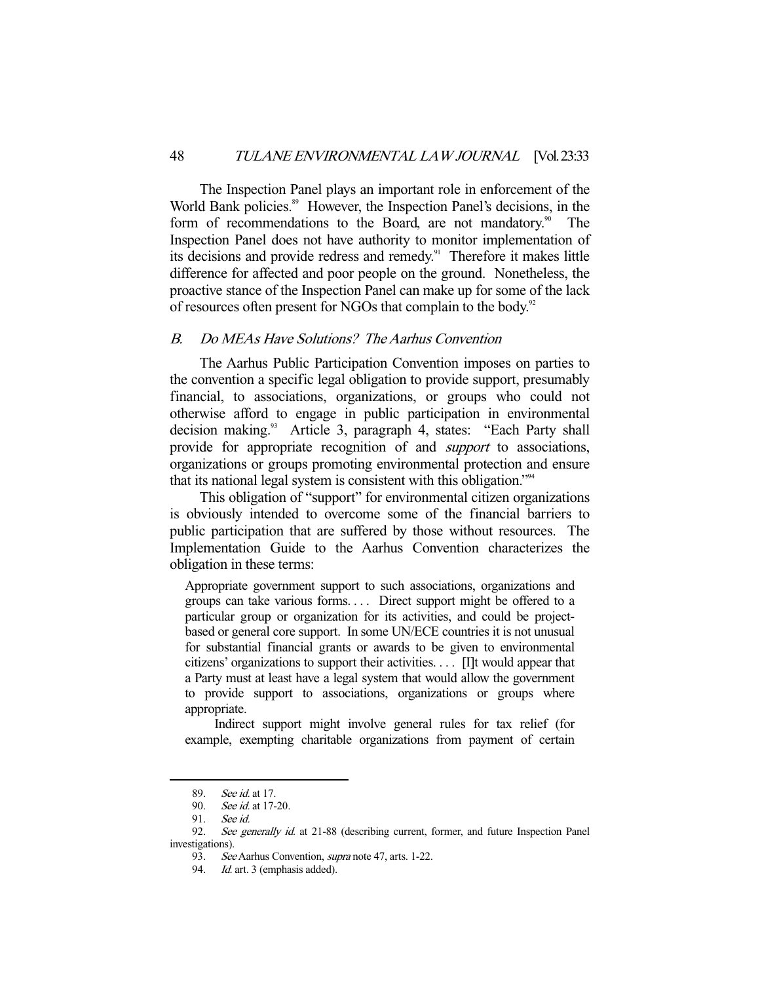The Inspection Panel plays an important role in enforcement of the World Bank policies.<sup>89</sup> However, the Inspection Panel's decisions, in the form of recommendations to the Board, are not mandatory.<sup>90</sup> The Inspection Panel does not have authority to monitor implementation of its decisions and provide redress and remedy.<sup>91</sup> Therefore it makes little difference for affected and poor people on the ground. Nonetheless, the proactive stance of the Inspection Panel can make up for some of the lack of resources often present for NGOs that complain to the body.<sup>92</sup>

# B. Do MEAs Have Solutions? The Aarhus Convention

 The Aarhus Public Participation Convention imposes on parties to the convention a specific legal obligation to provide support, presumably financial, to associations, organizations, or groups who could not otherwise afford to engage in public participation in environmental decision making.<sup>93</sup> Article 3, paragraph 4, states: "Each Party shall provide for appropriate recognition of and *support* to associations, organizations or groups promoting environmental protection and ensure that its national legal system is consistent with this obligation."94

 This obligation of "support" for environmental citizen organizations is obviously intended to overcome some of the financial barriers to public participation that are suffered by those without resources. The Implementation Guide to the Aarhus Convention characterizes the obligation in these terms:

Appropriate government support to such associations, organizations and groups can take various forms. . . . Direct support might be offered to a particular group or organization for its activities, and could be projectbased or general core support. In some UN/ECE countries it is not unusual for substantial financial grants or awards to be given to environmental citizens' organizations to support their activities. . . . [I]t would appear that a Party must at least have a legal system that would allow the government to provide support to associations, organizations or groups where appropriate.

 Indirect support might involve general rules for tax relief (for example, exempting charitable organizations from payment of certain

<sup>89.</sup> *See id.* at 17.<br>90. *See id.* at 17-

See id. at 17-20.

<sup>91.</sup> See id.<br>92. See ge

See generally id. at 21-88 (describing current, former, and future Inspection Panel investigations).

 <sup>93.</sup> See Aarhus Convention, supra note 47, arts. 1-22.

<sup>94.</sup> Id. art. 3 (emphasis added).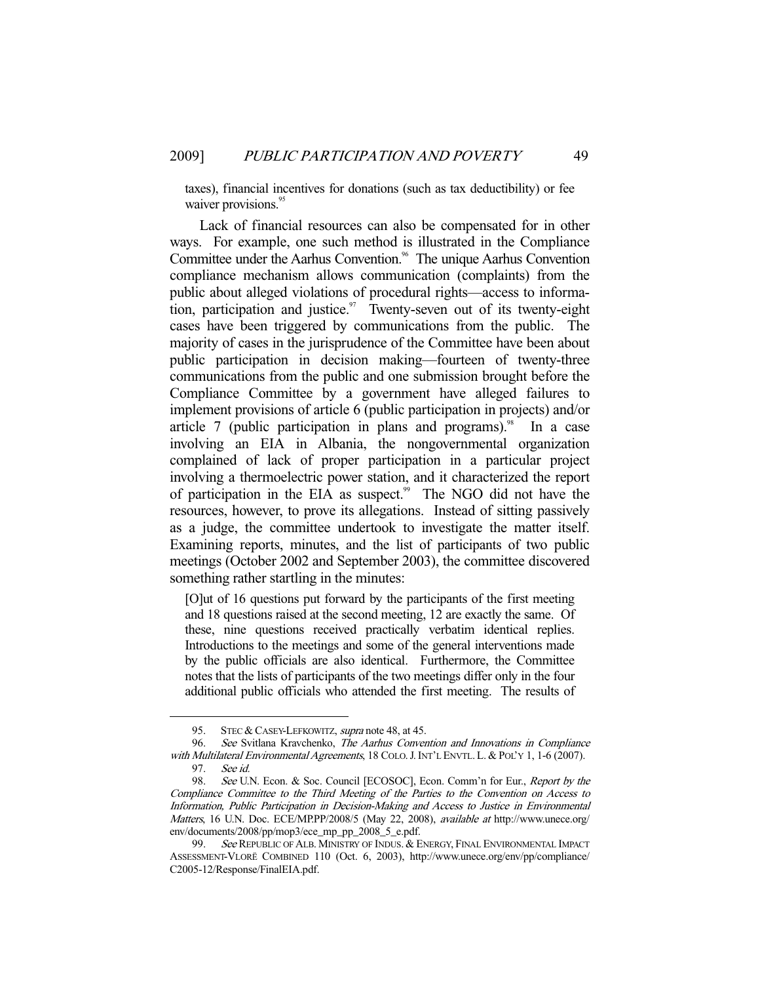taxes), financial incentives for donations (such as tax deductibility) or fee waiver provisions.<sup>95</sup>

 Lack of financial resources can also be compensated for in other ways. For example, one such method is illustrated in the Compliance Committee under the Aarhus Convention.<sup>96</sup> The unique Aarhus Convention compliance mechanism allows communication (complaints) from the public about alleged violations of procedural rights—access to information, participation and justice.<sup>97</sup> Twenty-seven out of its twenty-eight cases have been triggered by communications from the public. The majority of cases in the jurisprudence of the Committee have been about public participation in decision making—fourteen of twenty-three communications from the public and one submission brought before the Compliance Committee by a government have alleged failures to implement provisions of article 6 (public participation in projects) and/or article 7 (public participation in plans and programs).<sup>98</sup> In a case involving an EIA in Albania, the nongovernmental organization complained of lack of proper participation in a particular project involving a thermoelectric power station, and it characterized the report of participation in the EIA as suspect.<sup>99</sup> The NGO did not have the resources, however, to prove its allegations. Instead of sitting passively as a judge, the committee undertook to investigate the matter itself. Examining reports, minutes, and the list of participants of two public meetings (October 2002 and September 2003), the committee discovered something rather startling in the minutes:

[O]ut of 16 questions put forward by the participants of the first meeting and 18 questions raised at the second meeting, 12 are exactly the same. Of these, nine questions received practically verbatim identical replies. Introductions to the meetings and some of the general interventions made by the public officials are also identical. Furthermore, the Committee notes that the lists of participants of the two meetings differ only in the four additional public officials who attended the first meeting. The results of

<sup>95.</sup> STEC & CASEY-LEFKOWITZ, *supra* note 48, at 45.

 <sup>96.</sup> See Svitlana Kravchenko, The Aarhus Convention and Innovations in Compliance with Multilateral Environmental Agreements, 18 COLO. J. INT'L ENVTL. L. & POL'Y 1, 1-6 (2007). 97. See id.

<sup>98.</sup> See U.N. Econ. & Soc. Council [ECOSOC], Econ. Comm'n for Eur., Report by the Compliance Committee to the Third Meeting of the Parties to the Convention on Access to Information, Public Participation in Decision-Making and Access to Justice in Environmental Matters, 16 U.N. Doc. ECE/MP.PP/2008/5 (May 22, 2008), available at http://www.unece.org/ env/documents/2008/pp/mop3/ece\_mp\_pp\_2008\_5\_e.pdf.

<sup>99.</sup> See REPUBLIC OF ALB. MINISTRY OF INDUS. & ENERGY, FINAL ENVIRONMENTAL IMPACT ASSESSMENT-VLORË COMBINED 110 (Oct. 6, 2003), http://www.unece.org/env/pp/compliance/ C2005-12/Response/FinalEIA.pdf.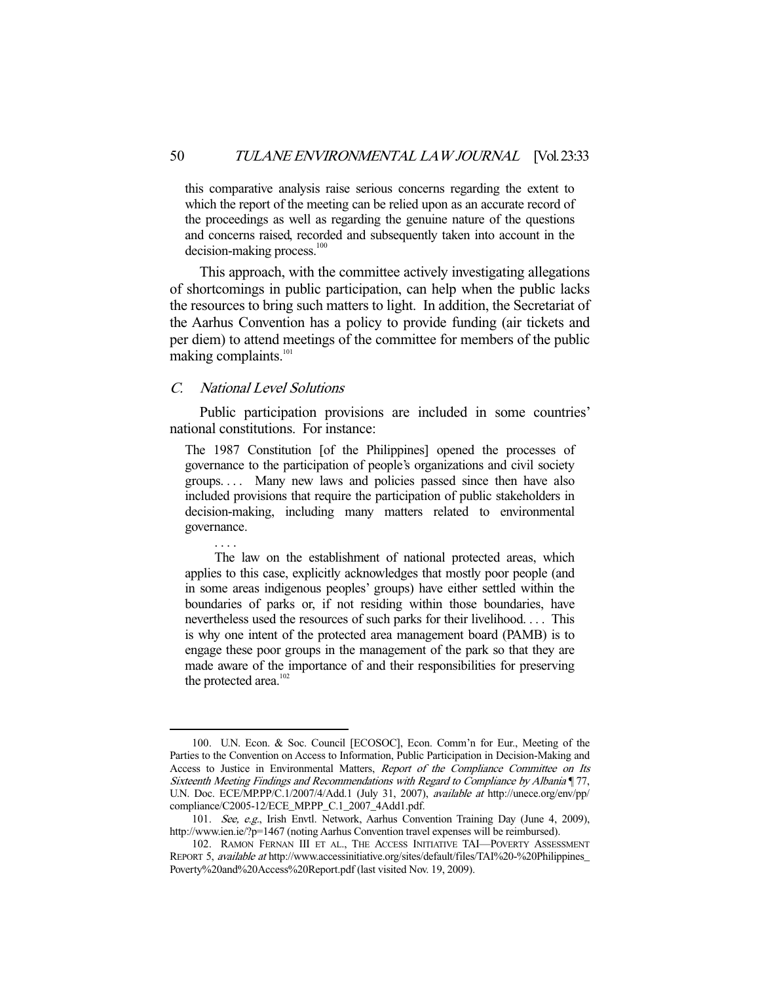this comparative analysis raise serious concerns regarding the extent to which the report of the meeting can be relied upon as an accurate record of the proceedings as well as regarding the genuine nature of the questions and concerns raised, recorded and subsequently taken into account in the  $decision-making process.<sup>100</sup>$ 

 This approach, with the committee actively investigating allegations of shortcomings in public participation, can help when the public lacks the resources to bring such matters to light. In addition, the Secretariat of the Aarhus Convention has a policy to provide funding (air tickets and per diem) to attend meetings of the committee for members of the public making complaints. $101$ 

# C. National Level Solutions

. . . .

-

 Public participation provisions are included in some countries' national constitutions. For instance:

The 1987 Constitution [of the Philippines] opened the processes of governance to the participation of people's organizations and civil society groups. . . . Many new laws and policies passed since then have also included provisions that require the participation of public stakeholders in decision-making, including many matters related to environmental governance.

 The law on the establishment of national protected areas, which applies to this case, explicitly acknowledges that mostly poor people (and in some areas indigenous peoples' groups) have either settled within the boundaries of parks or, if not residing within those boundaries, have nevertheless used the resources of such parks for their livelihood. . . . This is why one intent of the protected area management board (PAMB) is to engage these poor groups in the management of the park so that they are made aware of the importance of and their responsibilities for preserving the protected area.<sup>102</sup>

 <sup>100.</sup> U.N. Econ. & Soc. Council [ECOSOC], Econ. Comm'n for Eur., Meeting of the Parties to the Convention on Access to Information, Public Participation in Decision-Making and Access to Justice in Environmental Matters, Report of the Compliance Committee on Its Sixteenth Meeting Findings and Recommendations with Regard to Compliance by Albania ¶ 77, U.N. Doc. ECE/MP.PP/C.1/2007/4/Add.1 (July 31, 2007), available at http://unece.org/env/pp/ compliance/C2005-12/ECE\_MP.PP\_C.1\_2007\_4Add1.pdf.

 <sup>101.</sup> See, e.g., Irish Envtl. Network, Aarhus Convention Training Day (June 4, 2009), http://www.ien.ie/?p=1467 (noting Aarhus Convention travel expenses will be reimbursed).

 <sup>102.</sup> RAMON FERNAN III ET AL., THE ACCESS INITIATIVE TAI—POVERTY ASSESSMENT REPORT 5, available at http://www.accessinitiative.org/sites/default/files/TAI%20-%20Philippines\_ Poverty%20and%20Access%20Report.pdf (last visited Nov. 19, 2009).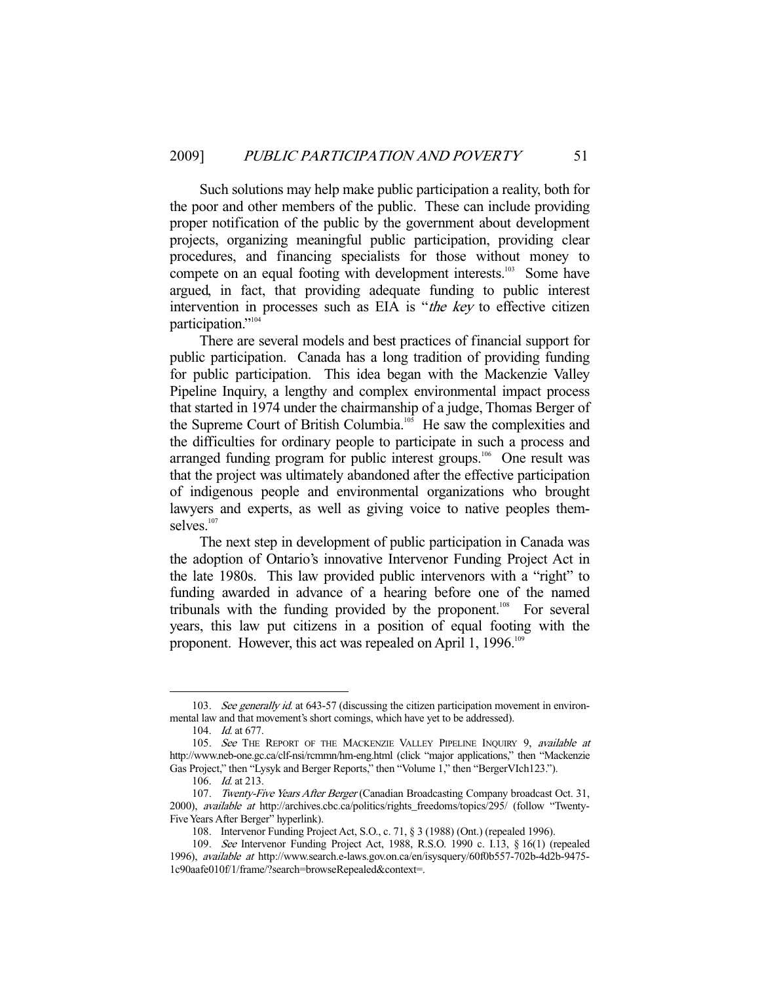Such solutions may help make public participation a reality, both for the poor and other members of the public. These can include providing proper notification of the public by the government about development projects, organizing meaningful public participation, providing clear procedures, and financing specialists for those without money to compete on an equal footing with development interests.<sup>103</sup> Some have argued, in fact, that providing adequate funding to public interest intervention in processes such as EIA is "the key to effective citizen participation."<sup>104</sup>

 There are several models and best practices of financial support for public participation. Canada has a long tradition of providing funding for public participation. This idea began with the Mackenzie Valley Pipeline Inquiry, a lengthy and complex environmental impact process that started in 1974 under the chairmanship of a judge, Thomas Berger of the Supreme Court of British Columbia.<sup>105</sup> He saw the complexities and the difficulties for ordinary people to participate in such a process and arranged funding program for public interest groups.<sup>106</sup> One result was that the project was ultimately abandoned after the effective participation of indigenous people and environmental organizations who brought lawyers and experts, as well as giving voice to native peoples themselves.<sup>107</sup>

 The next step in development of public participation in Canada was the adoption of Ontario's innovative Intervenor Funding Project Act in the late 1980s. This law provided public intervenors with a "right" to funding awarded in advance of a hearing before one of the named tribunals with the funding provided by the proponent.<sup>108</sup> For several years, this law put citizens in a position of equal footing with the proponent. However, this act was repealed on April 1, 1996.<sup>109</sup>

<sup>103.</sup> See generally id. at 643-57 (discussing the citizen participation movement in environmental law and that movement's short comings, which have yet to be addressed).

<sup>104.</sup> *Id.* at 677.

<sup>105.</sup> See THE REPORT OF THE MACKENZIE VALLEY PIPELINE INQUIRY 9, available at http://www.neb-one.gc.ca/clf-nsi/rcmmn/hm-eng.html (click "major applications," then "Mackenzie Gas Project," then "Lysyk and Berger Reports," then "Volume 1," then "BergerVIch123.").

<sup>106.</sup> *Id.* at 213.

<sup>107.</sup> Twenty-Five Years After Berger (Canadian Broadcasting Company broadcast Oct. 31, 2000), available at http://archives.cbc.ca/politics/rights\_freedoms/topics/295/ (follow "Twenty-Five Years After Berger" hyperlink).

 <sup>108.</sup> Intervenor Funding Project Act, S.O., c. 71, § 3 (1988) (Ont.) (repealed 1996).

 <sup>109.</sup> See Intervenor Funding Project Act, 1988, R.S.O. 1990 c. I.13, § 16(1) (repealed 1996), available at http://www.search.e-laws.gov.on.ca/en/isysquery/60f0b557-702b-4d2b-9475- 1c90aafe010f/1/frame/?search=browseRepealed&context=.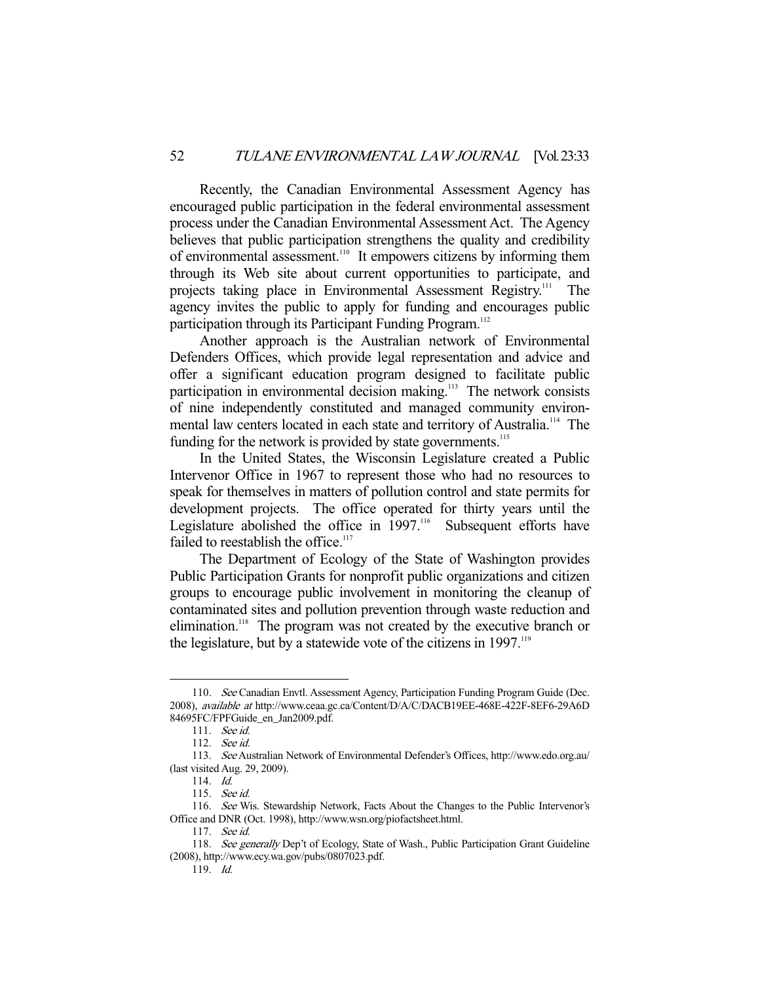Recently, the Canadian Environmental Assessment Agency has encouraged public participation in the federal environmental assessment process under the Canadian Environmental Assessment Act. The Agency believes that public participation strengthens the quality and credibility of environmental assessment.<sup>110</sup> It empowers citizens by informing them through its Web site about current opportunities to participate, and projects taking place in Environmental Assessment Registry.111 The agency invites the public to apply for funding and encourages public participation through its Participant Funding Program.<sup>112</sup>

 Another approach is the Australian network of Environmental Defenders Offices, which provide legal representation and advice and offer a significant education program designed to facilitate public participation in environmental decision making.<sup>113</sup> The network consists of nine independently constituted and managed community environmental law centers located in each state and territory of Australia.<sup>114</sup> The funding for the network is provided by state governments.<sup>115</sup>

 In the United States, the Wisconsin Legislature created a Public Intervenor Office in 1967 to represent those who had no resources to speak for themselves in matters of pollution control and state permits for development projects. The office operated for thirty years until the Legislature abolished the office in 1997.<sup>116</sup> Subsequent efforts have failed to reestablish the office.<sup>117</sup>

 The Department of Ecology of the State of Washington provides Public Participation Grants for nonprofit public organizations and citizen groups to encourage public involvement in monitoring the cleanup of contaminated sites and pollution prevention through waste reduction and elimination.<sup>118</sup> The program was not created by the executive branch or the legislature, but by a statewide vote of the citizens in  $1997$ .<sup>119</sup>

<sup>-</sup>110. See Canadian Envtl. Assessment Agency, Participation Funding Program Guide (Dec. 2008), available at http://www.ceaa.gc.ca/Content/D/A/C/DACB19EE-468E-422F-8EF6-29A6D 84695FC/FPFGuide\_en\_Jan2009.pdf.

 <sup>111.</sup> See id.

 <sup>112.</sup> See id.

 <sup>113.</sup> See Australian Network of Environmental Defender's Offices, http://www.edo.org.au/ (last visited Aug. 29, 2009).

 <sup>114.</sup> Id.

 <sup>115.</sup> See id.

 <sup>116.</sup> See Wis. Stewardship Network, Facts About the Changes to the Public Intervenor's Office and DNR (Oct. 1998), http://www.wsn.org/piofactsheet.html.

 <sup>117.</sup> See id.

<sup>118.</sup> See generally Dep't of Ecology, State of Wash., Public Participation Grant Guideline (2008), http://www.ecy.wa.gov/pubs/0807023.pdf.

 <sup>119.</sup> Id.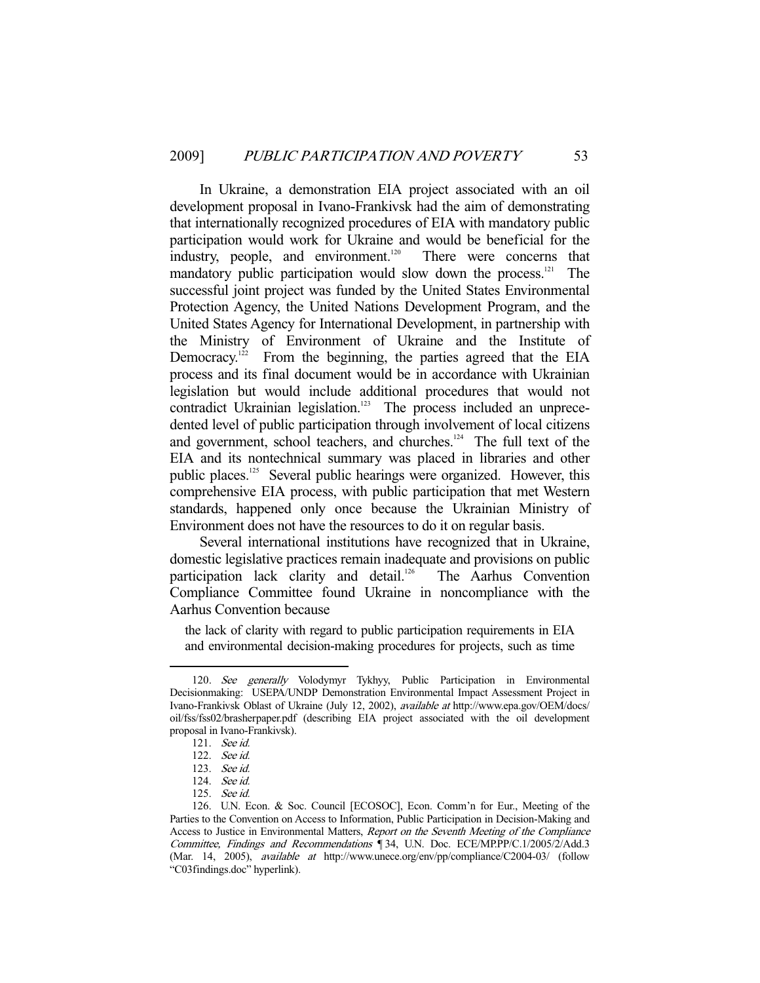In Ukraine, a demonstration EIA project associated with an oil development proposal in Ivano-Frankivsk had the aim of demonstrating that internationally recognized procedures of EIA with mandatory public participation would work for Ukraine and would be beneficial for the industry, people, and environment.<sup>120</sup> There were concerns that mandatory public participation would slow down the process. $121$  The successful joint project was funded by the United States Environmental Protection Agency, the United Nations Development Program, and the United States Agency for International Development, in partnership with the Ministry of Environment of Ukraine and the Institute of Democracy.<sup>122</sup> From the beginning, the parties agreed that the EIA process and its final document would be in accordance with Ukrainian legislation but would include additional procedures that would not contradict Ukrainian legislation.<sup>123</sup> The process included an unprecedented level of public participation through involvement of local citizens and government, school teachers, and churches.<sup>124</sup> The full text of the EIA and its nontechnical summary was placed in libraries and other public places.125 Several public hearings were organized. However, this comprehensive EIA process, with public participation that met Western standards, happened only once because the Ukrainian Ministry of Environment does not have the resources to do it on regular basis.

 Several international institutions have recognized that in Ukraine, domestic legislative practices remain inadequate and provisions on public participation lack clarity and detail.<sup>126</sup> The Aarhus Convention Compliance Committee found Ukraine in noncompliance with the Aarhus Convention because

the lack of clarity with regard to public participation requirements in EIA and environmental decision-making procedures for projects, such as time

<sup>120.</sup> See generally Volodymyr Tykhyy, Public Participation in Environmental Decisionmaking: USEPA/UNDP Demonstration Environmental Impact Assessment Project in Ivano-Frankivsk Oblast of Ukraine (July 12, 2002), available at http://www.epa.gov/OEM/docs/ oil/fss/fss02/brasherpaper.pdf (describing EIA project associated with the oil development proposal in Ivano-Frankivsk).

 <sup>121.</sup> See id.

 <sup>122.</sup> See id.

 <sup>123.</sup> See id.

 <sup>124.</sup> See id.

 <sup>125.</sup> See id.

 <sup>126.</sup> U.N. Econ. & Soc. Council [ECOSOC], Econ. Comm'n for Eur., Meeting of the Parties to the Convention on Access to Information, Public Participation in Decision-Making and Access to Justice in Environmental Matters, Report on the Seventh Meeting of the Compliance Committee, Findings and Recommendations ¶ 34, U.N. Doc. ECE/MP.PP/C.1/2005/2/Add.3 (Mar. 14, 2005), available at http://www.unece.org/env/pp/compliance/C2004-03/ (follow "C03findings.doc" hyperlink).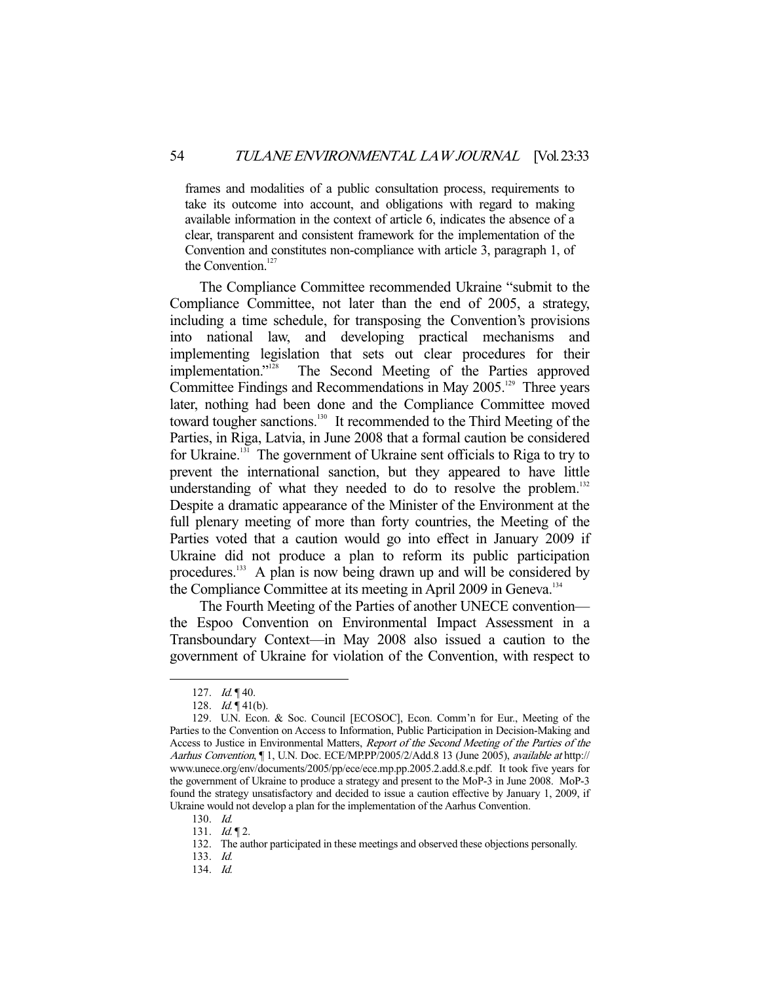frames and modalities of a public consultation process, requirements to take its outcome into account, and obligations with regard to making available information in the context of article 6, indicates the absence of a clear, transparent and consistent framework for the implementation of the Convention and constitutes non-compliance with article 3, paragraph 1, of the Convention.<sup>127</sup>

 The Compliance Committee recommended Ukraine "submit to the Compliance Committee, not later than the end of 2005, a strategy, including a time schedule, for transposing the Convention's provisions into national law, and developing practical mechanisms and implementing legislation that sets out clear procedures for their implementation."<sup>128</sup> The Second Meeting of the Parties approved Committee Findings and Recommendations in May 2005.<sup>129</sup> Three years later, nothing had been done and the Compliance Committee moved toward tougher sanctions.130 It recommended to the Third Meeting of the Parties, in Riga, Latvia, in June 2008 that a formal caution be considered for Ukraine.131 The government of Ukraine sent officials to Riga to try to prevent the international sanction, but they appeared to have little understanding of what they needed to do to resolve the problem.<sup>132</sup> Despite a dramatic appearance of the Minister of the Environment at the full plenary meeting of more than forty countries, the Meeting of the Parties voted that a caution would go into effect in January 2009 if Ukraine did not produce a plan to reform its public participation procedures.<sup>133</sup> A plan is now being drawn up and will be considered by the Compliance Committee at its meeting in April 2009 in Geneva.<sup>134</sup>

 The Fourth Meeting of the Parties of another UNECE convention the Espoo Convention on Environmental Impact Assessment in a Transboundary Context—in May 2008 also issued a caution to the government of Ukraine for violation of the Convention, with respect to

<sup>127.</sup>  $Id. \P 40$ .

<sup>128.</sup>  $Id. \P$  41(b).

 <sup>129.</sup> U.N. Econ. & Soc. Council [ECOSOC], Econ. Comm'n for Eur., Meeting of the Parties to the Convention on Access to Information, Public Participation in Decision-Making and Access to Justice in Environmental Matters, Report of the Second Meeting of the Parties of the Aarhus Convention, ¶ 1, U.N. Doc. ECE/MP.PP/2005/2/Add.8 13 (June 2005), available at http:// www.unece.org/env/documents/2005/pp/ece/ece.mp.pp.2005.2.add.8.e.pdf. It took five years for the government of Ukraine to produce a strategy and present to the MoP-3 in June 2008. MoP-3 found the strategy unsatisfactory and decided to issue a caution effective by January 1, 2009, if Ukraine would not develop a plan for the implementation of the Aarhus Convention.

 <sup>130.</sup> Id.

<sup>131.</sup>  $Id. \P$  2.

 <sup>132.</sup> The author participated in these meetings and observed these objections personally.

 <sup>133.</sup> Id.

 <sup>134.</sup> Id.